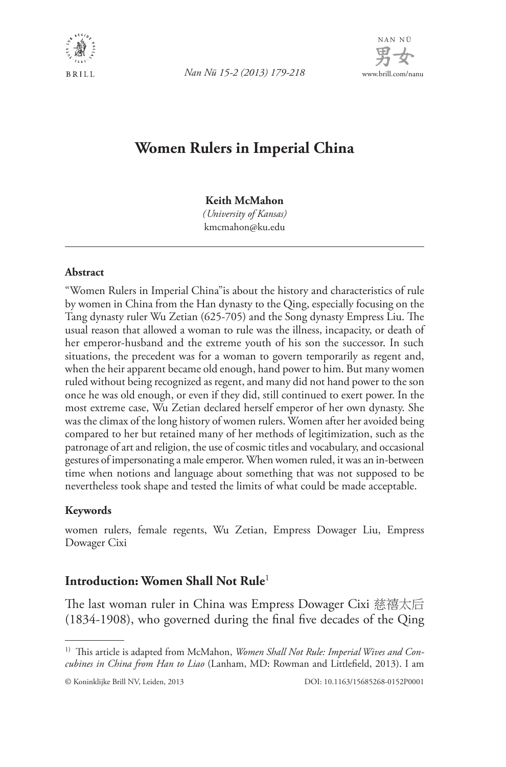

*Kan Nü 15-2 (2013) 179-218* [www.brill.com/nanu](http://www.brill.com/nanu)



# **Women Rulers in Imperial China**

**Keith McMahon**

*(University of Kansas)* kmcmahon@ku.edu

#### **Abstract**

"Women Rulers in Imperial China"is about the history and characteristics of rule by women in China from the Han dynasty to the Qing, especially focusing on the Tang dynasty ruler Wu Zetian (625-705) and the Song dynasty Empress Liu. The usual reason that allowed a woman to rule was the illness, incapacity, or death of her emperor-husband and the extreme youth of his son the successor. In such situations, the precedent was for a woman to govern temporarily as regent and, when the heir apparent became old enough, hand power to him. But many women ruled without being recognized as regent, and many did not hand power to the son once he was old enough, or even if they did, still continued to exert power. In the most extreme case, Wu Zetian declared herself emperor of her own dynasty. She was the climax of the long history of women rulers. Women after her avoided being compared to her but retained many of her methods of legitimization, such as the patronage of art and religion, the use of cosmic titles and vocabulary, and occasional gestures of impersonating a male emperor. When women ruled, it was an in-between time when notions and language about something that was not supposed to be nevertheless took shape and tested the limits of what could be made acceptable.

#### **Keywords**

women rulers, female regents, Wu Zetian, Empress Dowager Liu, Empress Dowager Cixi

# **Introduction: Women Shall Not Rule**<sup>1</sup>

The last woman ruler in China was Empress Dowager Cixi 慈禧太后 (1834-1908), who governed during the final five decades of the Qing

<sup>&</sup>lt;sup>1)</sup> This article is adapted from McMahon, *Women Shall Not Rule: Imperial Wives and Concubines in China from Han to Liao* (Lanham, MD: Rowman and Littlefield, 2013). I am

<sup>©</sup> Koninklijke Brill NV, Leiden, 2013 DOI: 10.1163/15685268-0152P0001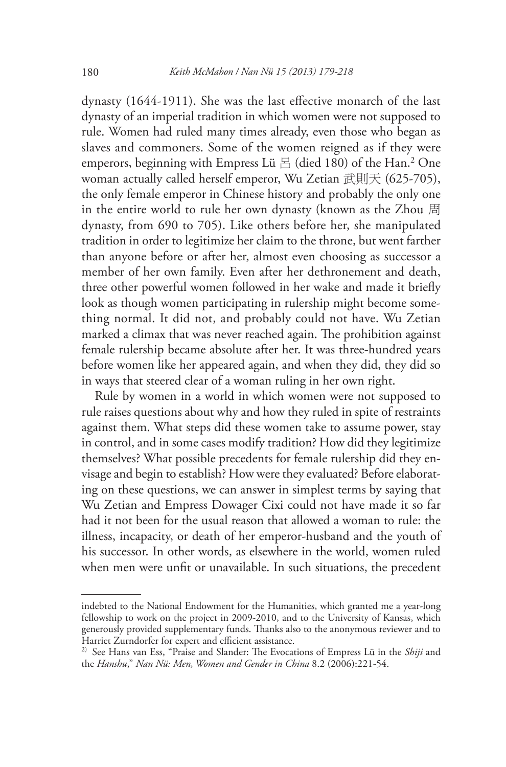dynasty (1644-1911). She was the last effective monarch of the last dynasty of an imperial tradition in which women were not supposed to rule. Women had ruled many times already, even those who began as slaves and commoners. Some of the women reigned as if they were emperors, beginning with Empress Lü  $\boxtimes$  (died 180) of the Han. $^2$  One woman actually called herself emperor, Wu Zetian 武則天 (625-705), the only female emperor in Chinese history and probably the only one in the entire world to rule her own dynasty (known as the Zhou 周 dynasty, from 690 to 705). Like others before her, she manipulated tradition in order to legitimize her claim to the throne, but went farther than anyone before or after her, almost even choosing as successor a member of her own family. Even after her dethronement and death, three other powerful women followed in her wake and made it briefly look as though women participating in rulership might become something normal. It did not, and probably could not have. Wu Zetian marked a climax that was never reached again. The prohibition against female rulership became absolute after her. It was three-hundred years before women like her appeared again, and when they did, they did so in ways that steered clear of a woman ruling in her own right.

Rule by women in a world in which women were not supposed to rule raises questions about why and how they ruled in spite of restraints against them. What steps did these women take to assume power, stay in control, and in some cases modify tradition? How did they legitimize themselves? What possible precedents for female rulership did they envisage and begin to establish? How were they evaluated? Before elaborating on these questions, we can answer in simplest terms by saying that Wu Zetian and Empress Dowager Cixi could not have made it so far had it not been for the usual reason that allowed a woman to rule: the illness, incapacity, or death of her emperor-husband and the youth of his successor. In other words, as elsewhere in the world, women ruled when men were unfit or unavailable. In such situations, the precedent

indebted to the National Endowment for the Humanities, which granted me a year-long fellowship to work on the project in 2009-2010, and to the University of Kansas, which generously provided supplementary funds. Thanks also to the anonymous reviewer and to Harriet Zurndorfer for expert and efficient assistance.

<sup>2)</sup> See Hans van Ess, "Praise and Slander: The Evocations of Empress Lü in the *Shiji* and the *Hanshu*," *Nan Nü: Men, Women and Gender in China* 8.2 (2006):221-54.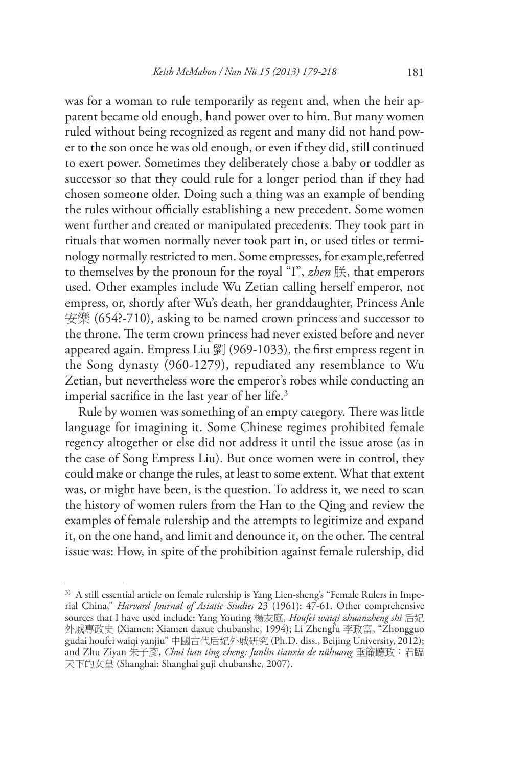was for a woman to rule temporarily as regent and, when the heir apparent became old enough, hand power over to him. But many women ruled without being recognized as regent and many did not hand power to the son once he was old enough, or even if they did, still continued to exert power. Sometimes they deliberately chose a baby or toddler as successor so that they could rule for a longer period than if they had chosen someone older. Doing such a thing was an example of bending the rules without officially establishing a new precedent. Some women went further and created or manipulated precedents. They took part in rituals that women normally never took part in, or used titles or terminology normally restricted to men. Some empresses, for example,referred to themselves by the pronoun for the royal "I", *zhen* 朕, that emperors used. Other examples include Wu Zetian calling herself emperor, not empress, or, shortly after Wu's death, her granddaughter, Princess Anle 安樂 (654?-710), asking to be named crown princess and successor to the throne. The term crown princess had never existed before and never appeared again. Empress Liu 劉 (969-1033), the first empress regent in the Song dynasty (960-1279), repudiated any resemblance to Wu Zetian, but nevertheless wore the emperor's robes while conducting an imperial sacrifice in the last year of her life.<sup>3</sup>

Rule by women was something of an empty category. There was little language for imagining it. Some Chinese regimes prohibited female regency altogether or else did not address it until the issue arose (as in the case of Song Empress Liu). But once women were in control, they could make or change the rules, at least to some extent. What that extent was, or might have been, is the question. To address it, we need to scan the history of women rulers from the Han to the Qing and review the examples of female rulership and the attempts to legitimize and expand it, on the one hand, and limit and denounce it, on the other. The central issue was: How, in spite of the prohibition against female rulership, did

<sup>&</sup>lt;sup>3)</sup> A still essential article on female rulership is Yang Lien-sheng's "Female Rulers in Imperial China," *Harvard Journal of Asiatic Studies* 23 (1961): 47-61. Other comprehensive sources that I have used include: Yang Youting 楊友庭, *Houfei waiqi zhuanzheng shi* 后妃 外戚專政史 (Xiamen: Xiamen daxue chubanshe, 1994); Li Zhengfu 李政富, "Zhongguo gudai houfei waiqi yanjiu" 中國古代后妃外戚研究 (Ph.D. diss., Beijing University, 2012); and Zhu Ziyan 朱子彥, *Chui lian ting zheng: Junlin tianxia de nühuang* 垂簾聽政:君臨 天下的女皇 (Shanghai: Shanghai guji chubanshe, 2007).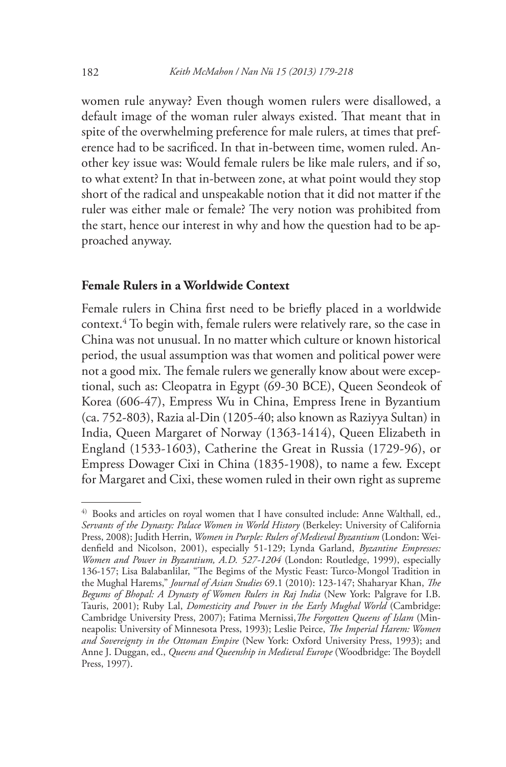women rule anyway? Even though women rulers were disallowed, a default image of the woman ruler always existed. That meant that in spite of the overwhelming preference for male rulers, at times that preference had to be sacrificed. In that in-between time, women ruled. Another key issue was: Would female rulers be like male rulers, and if so, to what extent? In that in-between zone, at what point would they stop short of the radical and unspeakable notion that it did not matter if the ruler was either male or female? The very notion was prohibited from the start, hence our interest in why and how the question had to be approached anyway.

### **Female Rulers in a Worldwide Context**

Female rulers in China first need to be briefly placed in a worldwide context.4 To begin with, female rulers were relatively rare, so the case in China was not unusual. In no matter which culture or known historical period, the usual assumption was that women and political power were not a good mix. The female rulers we generally know about were exceptional, such as: Cleopatra in Egypt (69-30 BCE), Queen Seondeok of Korea (606-47), Empress Wu in China, Empress Irene in Byzantium (ca. 752-803), Razia al-Din (1205-40; also known as Raziyya Sultan) in India, Queen Margaret of Norway (1363-1414), Queen Elizabeth in England (1533-1603), Catherine the Great in Russia (1729-96), or Empress Dowager Cixi in China (1835-1908), to name a few. Except for Margaret and Cixi, these women ruled in their own right as supreme

 $4)$  Books and articles on royal women that I have consulted include: Anne Walthall, ed., *Servants of the Dynasty: Palace Women in World History* (Berkeley: University of California Press, 2008); Judith Herrin, *Women in Purple: Rulers of Medieval Byzantium* (London: Weidenfield and Nicolson, 2001), especially 51-129; Lynda Garland, *Byzantine Empresses: Women and Power in Byzantium, A.D. 527-1204* (London: Routledge, 1999), especially 136-157; Lisa Balabanlilar, "The Begims of the Mystic Feast: Turco-Mongol Tradition in the Mughal Harems," *Journal of Asian Studies* 69.1 (2010): 123-147; Shaharyar Khan, *The Begums of Bhopal: A Dynasty of Women Rulers in Raj India* (New York: Palgrave for I.B. Tauris, 2001); Ruby Lal, *Domesticity and Power in the Early Mughal World* (Cambridge: Cambridge University Press, 2007); Fatima Mernissi,*The Forgotten Queens of Islam* (Minneapolis: University of Minnesota Press, 1993); Leslie Peirce, *The Imperial Harem: Women and Sovereignty in the Ottoman Empire* (New York: Oxford University Press, 1993); and Anne J. Duggan, ed., *Queens and Queenship in Medieval Europe* (Woodbridge: The Boydell Press, 1997).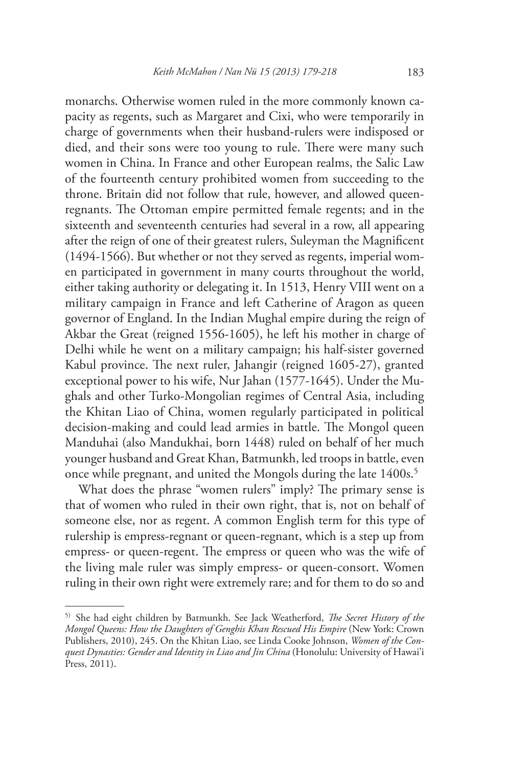monarchs. Otherwise women ruled in the more commonly known capacity as regents, such as Margaret and Cixi, who were temporarily in charge of governments when their husband-rulers were indisposed or died, and their sons were too young to rule. There were many such women in China. In France and other European realms, the Salic Law of the fourteenth century prohibited women from succeeding to the throne. Britain did not follow that rule, however, and allowed queenregnants. The Ottoman empire permitted female regents; and in the sixteenth and seventeenth centuries had several in a row, all appearing after the reign of one of their greatest rulers, Suleyman the Magnificent (1494-1566). But whether or not they served as regents, imperial women participated in government in many courts throughout the world, either taking authority or delegating it. In 1513, Henry VIII went on a military campaign in France and left Catherine of Aragon as queen governor of England. In the Indian Mughal empire during the reign of Akbar the Great (reigned 1556-1605), he left his mother in charge of Delhi while he went on a military campaign; his half-sister governed Kabul province. The next ruler, Jahangir (reigned 1605-27), granted exceptional power to his wife, Nur Jahan (1577-1645). Under the Mughals and other Turko-Mongolian regimes of Central Asia, including the Khitan Liao of China, women regularly participated in political decision-making and could lead armies in battle. The Mongol queen Manduhai (also Mandukhai, born 1448) ruled on behalf of her much younger husband and Great Khan, Batmunkh, led troops in battle, even once while pregnant, and united the Mongols during the late 1400s.<sup>5</sup>

What does the phrase "women rulers" imply? The primary sense is that of women who ruled in their own right, that is, not on behalf of someone else, nor as regent. A common English term for this type of rulership is empress-regnant or queen-regnant, which is a step up from empress- or queen-regent. The empress or queen who was the wife of the living male ruler was simply empress- or queen-consort. Women ruling in their own right were extremely rare; and for them to do so and

<sup>5)</sup> She had eight children by Batmunkh. See Jack Weatherford, *The Secret History of the Mongol Queens: How the Daughters of Genghis Khan Rescued His Empire* (New York: Crown Publishers, 2010), 245. On the Khitan Liao, see Linda Cooke Johnson, *Women of the Conquest Dynasties: Gender and Identity in Liao and Jin China* (Honolulu: University of Hawai'i Press, 2011).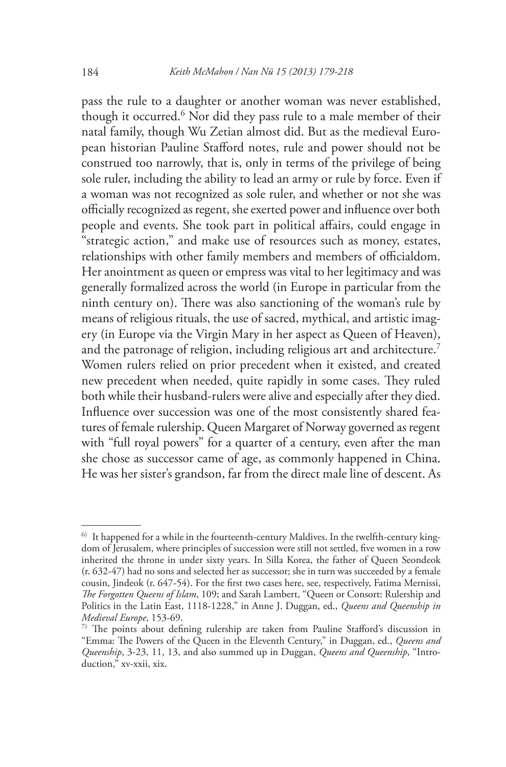pass the rule to a daughter or another woman was never established, though it occurred.6 Nor did they pass rule to a male member of their natal family, though Wu Zetian almost did. But as the medieval European historian Pauline Stafford notes, rule and power should not be construed too narrowly, that is, only in terms of the privilege of being sole ruler, including the ability to lead an army or rule by force. Even if a woman was not recognized as sole ruler, and whether or not she was officially recognized as regent, she exerted power and influence over both people and events. She took part in political affairs, could engage in "strategic action," and make use of resources such as money, estates, relationships with other family members and members of officialdom. Her anointment as queen or empress was vital to her legitimacy and was generally formalized across the world (in Europe in particular from the ninth century on). There was also sanctioning of the woman's rule by means of religious rituals, the use of sacred, mythical, and artistic imagery (in Europe via the Virgin Mary in her aspect as Queen of Heaven), and the patronage of religion, including religious art and architecture.<sup>7</sup> Women rulers relied on prior precedent when it existed, and created new precedent when needed, quite rapidly in some cases. They ruled both while their husband-rulers were alive and especially after they died. Influence over succession was one of the most consistently shared features of female rulership. Queen Margaret of Norway governed as regent with "full royal powers" for a quarter of a century, even after the man she chose as successor came of age, as commonly happened in China. He was her sister's grandson, far from the direct male line of descent. As

<sup>6)</sup> It happened for a while in the fourteenth-century Maldives. In the twelfth-century kingdom of Jerusalem, where principles of succession were still not settled, five women in a row inherited the throne in under sixty years. In Silla Korea, the father of Queen Seondeok (r. 632-47) had no sons and selected her as successor; she in turn was succeeded by a female cousin, Jindeok (r. 647-54). For the first two cases here, see, respectively, Fatima Mernissi, *The Forgotten Queens of Islam*, 109; and Sarah Lambert, "Queen or Consort: Rulership and Politics in the Latin East, 1118-1228," in Anne J. Duggan, ed., *Queens and Queenship in Medieval Europe*, 153-69.

<sup>7)</sup> The points about defining rulership are taken from Pauline Stafford's discussion in "Emma: The Powers of the Queen in the Eleventh Century," in Duggan, ed., *Queens and Queenship*, 3-23, 11, 13, and also summed up in Duggan, *Queens and Queenship*, "Introduction," xv-xxii, xix.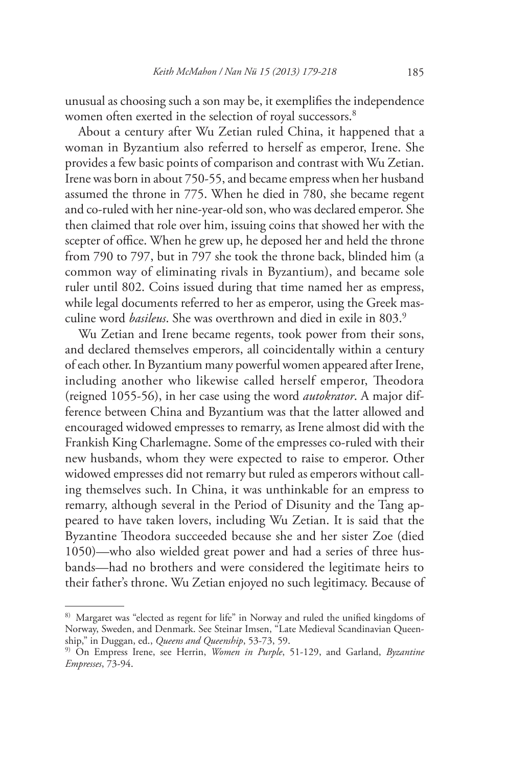unusual as choosing such a son may be, it exemplifies the independence women often exerted in the selection of royal successors.<sup>8</sup>

About a century after Wu Zetian ruled China, it happened that a woman in Byzantium also referred to herself as emperor, Irene. She provides a few basic points of comparison and contrast with Wu Zetian. Irene was born in about 750-55, and became empress when her husband assumed the throne in 775. When he died in 780, she became regent and co-ruled with her nine-year-old son, who was declared emperor. She then claimed that role over him, issuing coins that showed her with the scepter of office. When he grew up, he deposed her and held the throne from 790 to 797, but in 797 she took the throne back, blinded him (a common way of eliminating rivals in Byzantium), and became sole ruler until 802. Coins issued during that time named her as empress, while legal documents referred to her as emperor, using the Greek masculine word *basileus*. She was overthrown and died in exile in 803.9

Wu Zetian and Irene became regents, took power from their sons, and declared themselves emperors, all coincidentally within a century of each other. In Byzantium many powerful women appeared after Irene, including another who likewise called herself emperor, Theodora (reigned 1055-56), in her case using the word *autokrator*. A major difference between China and Byzantium was that the latter allowed and encouraged widowed empresses to remarry, as Irene almost did with the Frankish King Charlemagne. Some of the empresses co-ruled with their new husbands, whom they were expected to raise to emperor. Other widowed empresses did not remarry but ruled as emperors without calling themselves such. In China, it was unthinkable for an empress to remarry, although several in the Period of Disunity and the Tang appeared to have taken lovers, including Wu Zetian. It is said that the Byzantine Theodora succeeded because she and her sister Zoe (died 1050)—who also wielded great power and had a series of three husbands—had no brothers and were considered the legitimate heirs to their father's throne. Wu Zetian enjoyed no such legitimacy. Because of

<sup>8)</sup> Margaret was "elected as regent for life" in Norway and ruled the unified kingdoms of Norway, Sweden, and Denmark. See Steinar Imsen, "Late Medieval Scandinavian Queenship," in Duggan, ed., *Queens and Queenship*, 53-73, 59.

<sup>9)</sup> On Empress Irene, see Herrin, *Women in Purple*, 51-129, and Garland, *Byzantine Empresses*, 73-94.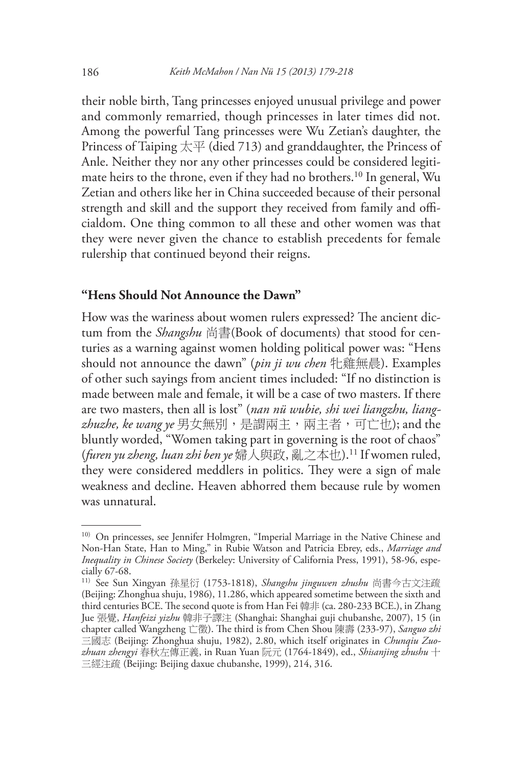their noble birth, Tang princesses enjoyed unusual privilege and power and commonly remarried, though princesses in later times did not. Among the powerful Tang princesses were Wu Zetian's daughter, the Princess of Taiping 太平 (died 713) and granddaughter, the Princess of Anle. Neither they nor any other princesses could be considered legitimate heirs to the throne, even if they had no brothers.10 In general, Wu Zetian and others like her in China succeeded because of their personal strength and skill and the support they received from family and officialdom. One thing common to all these and other women was that they were never given the chance to establish precedents for female rulership that continued beyond their reigns.

### **"Hens Should Not Announce the Dawn"**

How was the wariness about women rulers expressed? The ancient dictum from the *Shangshu* 尚書(Book of documents) that stood for centuries as a warning against women holding political power was: "Hens should not announce the dawn" (*pin ji wu chen* 牝雞無晨). Examples of other such sayings from ancient times included: "If no distinction is made between male and female, it will be a case of two masters. If there are two masters, then all is lost" (*nan nü wubie, shi wei liangzhu, liangzhuzhe, ke wang ye* 男女無別,是謂兩主,兩主者,可亡也); and the bluntly worded, "Women taking part in governing is the root of chaos" (*furen yu zheng, luan zhi ben ye* 婦人與政, 亂之本也).11 If women ruled, they were considered meddlers in politics. They were a sign of male weakness and decline. Heaven abhorred them because rule by women was unnatural.

<sup>10)</sup> On princesses, see Jennifer Holmgren, "Imperial Marriage in the Native Chinese and Non-Han State, Han to Ming," in Rubie Watson and Patricia Ebrey, eds., *Marriage and Inequality in Chinese Society* (Berkeley: University of California Press, 1991), 58-96, especially 67-68.

<sup>11)</sup> See Sun Xingyan 孫星衍 (1753-1818), *Shangshu jinguwen zhushu* 尚書今古文注疏 (Beijing: Zhonghua shuju, 1986), 11.286, which appeared sometime between the sixth and third centuries BCE. The second quote is from Han Fei 韓非 (ca. 280-233 BCE.), in Zhang Jue 張覺, *Hanfeizi yizhu* 韓非子譯注 (Shanghai: Shanghai guji chubanshe, 2007), 15 (in chapter called Wangzheng 亡徵). The third is from Chen Shou 陳壽 (233-97), *Sanguo zhi*  三國志 (Beijing: Zhonghua shuju, 1982), 2.80, which itself originates in *Chunqiu Zuozhuan zhengyi* 春秋左傳正義, in Ruan Yuan 阮元 (1764-1849), ed., *Shisanjing zhushu* 十 三經注疏 (Beijing: Beijing daxue chubanshe, 1999), 214, 316.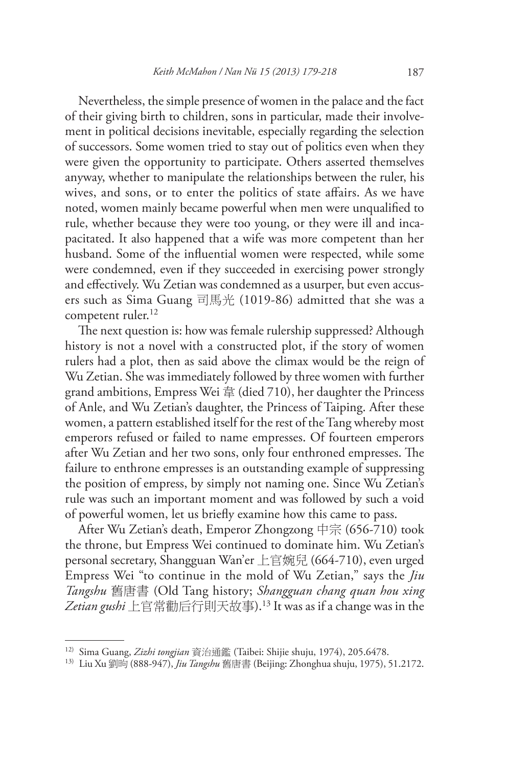Nevertheless, the simple presence of women in the palace and the fact of their giving birth to children, sons in particular, made their involvement in political decisions inevitable, especially regarding the selection of successors. Some women tried to stay out of politics even when they were given the opportunity to participate. Others asserted themselves anyway, whether to manipulate the relationships between the ruler, his wives, and sons, or to enter the politics of state affairs. As we have noted, women mainly became powerful when men were unqualified to rule, whether because they were too young, or they were ill and incapacitated. It also happened that a wife was more competent than her husband. Some of the influential women were respected, while some were condemned, even if they succeeded in exercising power strongly and effectively. Wu Zetian was condemned as a usurper, but even accusers such as Sima Guang 司馬光 (1019-86) admitted that she was a competent ruler.<sup>12</sup>

The next question is: how was female rulership suppressed? Although history is not a novel with a constructed plot, if the story of women rulers had a plot, then as said above the climax would be the reign of Wu Zetian. She was immediately followed by three women with further grand ambitions, Empress Wei 韋 (died 710), her daughter the Princess of Anle, and Wu Zetian's daughter, the Princess of Taiping. After these women, a pattern established itself for the rest of the Tang whereby most emperors refused or failed to name empresses. Of fourteen emperors after Wu Zetian and her two sons, only four enthroned empresses. The failure to enthrone empresses is an outstanding example of suppressing the position of empress, by simply not naming one. Since Wu Zetian's rule was such an important moment and was followed by such a void of powerful women, let us briefly examine how this came to pass.

After Wu Zetian's death, Emperor Zhongzong 中宗 (656-710) took the throne, but Empress Wei continued to dominate him. Wu Zetian's personal secretary, Shangguan Wan'er 上官婉兒 (664-710), even urged Empress Wei "to continue in the mold of Wu Zetian," says the *Jiu Tangshu* 舊唐書 (Old Tang history; *Shangguan chang quan hou xing Zetian gushi* 上官常勸后行則天故事).13 It was as if a change was in the

<sup>12)</sup> Sima Guang, *Zizhi tongjian* 資治通鑑 (Taibei: Shijie shuju, 1974), 205.6478.

<sup>13)</sup> Liu Xu 劉昫 (888-947), *Jiu Tangshu* 舊唐書 (Beijing: Zhonghua shuju, 1975), 51.2172.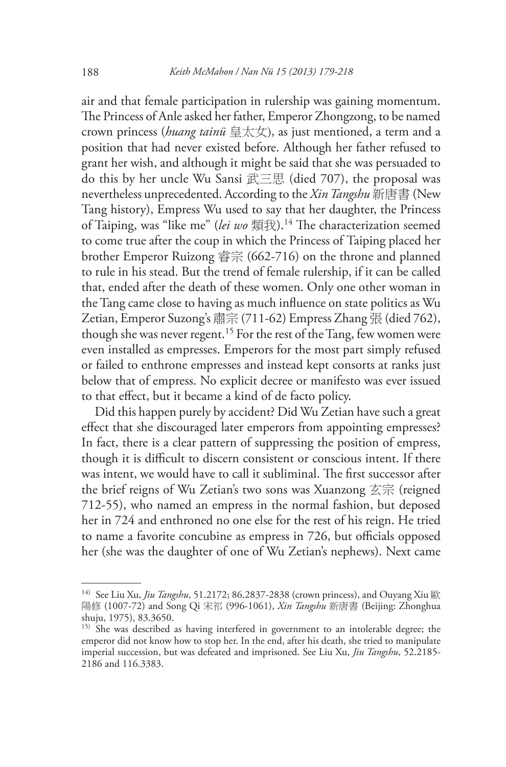air and that female participation in rulership was gaining momentum. The Princess of Anle asked her father, Emperor Zhongzong, to be named crown princess (*huang tainü* 皇太女), as just mentioned, a term and a position that had never existed before. Although her father refused to grant her wish, and although it might be said that she was persuaded to do this by her uncle Wu Sansi 武三思 (died 707), the proposal was nevertheless unprecedented. According to the *Xin Tangshu* 新唐書 (New Tang history), Empress Wu used to say that her daughter, the Princess of Taiping, was "like me" (*lei wo* 類我).14 The characterization seemed to come true after the coup in which the Princess of Taiping placed her brother Emperor Ruizong 睿宗 (662-716) on the throne and planned to rule in his stead. But the trend of female rulership, if it can be called that, ended after the death of these women. Only one other woman in the Tang came close to having as much influence on state politics as Wu Zetian, Emperor Suzong's 肅宗 (711-62) Empress Zhang 張 (died 762), though she was never regent.15 For the rest of the Tang, few women were even installed as empresses. Emperors for the most part simply refused or failed to enthrone empresses and instead kept consorts at ranks just below that of empress. No explicit decree or manifesto was ever issued to that effect, but it became a kind of de facto policy.

Did this happen purely by accident? Did Wu Zetian have such a great effect that she discouraged later emperors from appointing empresses? In fact, there is a clear pattern of suppressing the position of empress, though it is difficult to discern consistent or conscious intent. If there was intent, we would have to call it subliminal. The first successor after the brief reigns of Wu Zetian's two sons was Xuanzong 玄宗 (reigned 712-55), who named an empress in the normal fashion, but deposed her in 724 and enthroned no one else for the rest of his reign. He tried to name a favorite concubine as empress in 726, but officials opposed her (she was the daughter of one of Wu Zetian's nephews). Next came

<sup>14)</sup> See Liu Xu, *Jiu Tangshu*, 51.2172; 86.2837-2838 (crown princess), and Ouyang Xiu 歐 陽修 (1007-72) and Song Qi 宋祁 (996-1061), *Xin Tangshu* 新唐書 (Beijing: Zhonghua shuju, 1975), 83.3650.

<sup>&</sup>lt;sup>15)</sup> She was described as having interfered in government to an intolerable degree; the emperor did not know how to stop her. In the end, after his death, she tried to manipulate imperial succession, but was defeated and imprisoned. See Liu Xu, *Jiu Tangshu*, 52.2185- 2186 and 116.3383.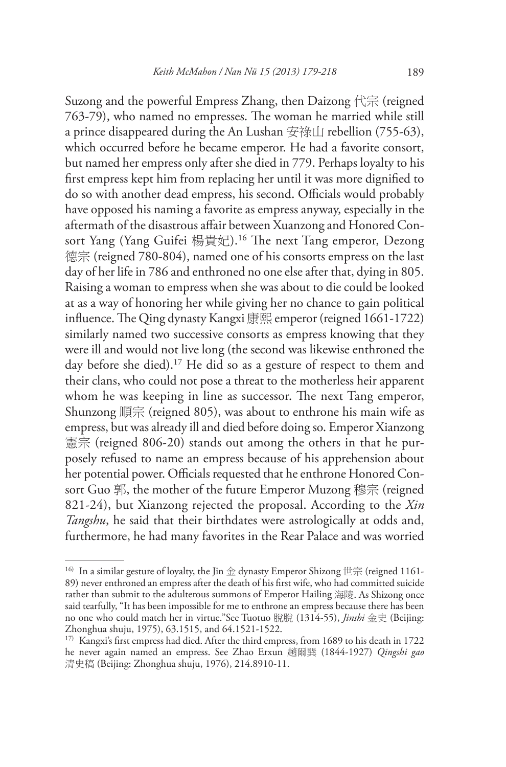Suzong and the powerful Empress Zhang, then Daizong 代宗 (reigned 763-79), who named no empresses. The woman he married while still a prince disappeared during the An Lushan 安祿山 rebellion (755-63), which occurred before he became emperor. He had a favorite consort, but named her empress only after she died in 779. Perhaps loyalty to his first empress kept him from replacing her until it was more dignified to do so with another dead empress, his second. Officials would probably have opposed his naming a favorite as empress anyway, especially in the aftermath of the disastrous affair between Xuanzong and Honored Consort Yang (Yang Guifei 楊貴妃).<sup>16</sup> The next Tang emperor, Dezong 德宗 (reigned 780-804), named one of his consorts empress on the last day of her life in 786 and enthroned no one else after that, dying in 805. Raising a woman to empress when she was about to die could be looked at as a way of honoring her while giving her no chance to gain political influence. The Qing dynasty Kangxi 康熙 emperor (reigned 1661-1722) similarly named two successive consorts as empress knowing that they were ill and would not live long (the second was likewise enthroned the day before she died).17 He did so as a gesture of respect to them and their clans, who could not pose a threat to the motherless heir apparent whom he was keeping in line as successor. The next Tang emperor, Shunzong 順宗 (reigned 805), was about to enthrone his main wife as empress, but was already ill and died before doing so. Emperor Xianzong 憲宗 (reigned 806-20) stands out among the others in that he purposely refused to name an empress because of his apprehension about her potential power. Officials requested that he enthrone Honored Consort Guo 郭, the mother of the future Emperor Muzong 穆宗 (reigned 821-24), but Xianzong rejected the proposal. According to the *Xin Tangshu*, he said that their birthdates were astrologically at odds and, furthermore, he had many favorites in the Rear Palace and was worried

<sup>&</sup>lt;sup>16)</sup> In a similar gesture of loyalty, the Jin 金 dynasty Emperor Shizong 世宗 (reigned 1161-89) never enthroned an empress after the death of his first wife, who had committed suicide rather than submit to the adulterous summons of Emperor Hailing 海陵. As Shizong once said tearfully, "It has been impossible for me to enthrone an empress because there has been no one who could match her in virtue."See Tuotuo 脫脫 (1314-55), *Jinshi* 金史 (Beijing: Zhonghua shuju, 1975), 63.1515, and 64.1521-1522.

<sup>&</sup>lt;sup>17)</sup> Kangxi's first empress had died. After the third empress, from 1689 to his death in 1722 he never again named an empress. See Zhao Erxun 趙爾巽 (1844-1927) *Qingshi gao*  清史稿 (Beijing: Zhonghua shuju, 1976), 214.8910-11.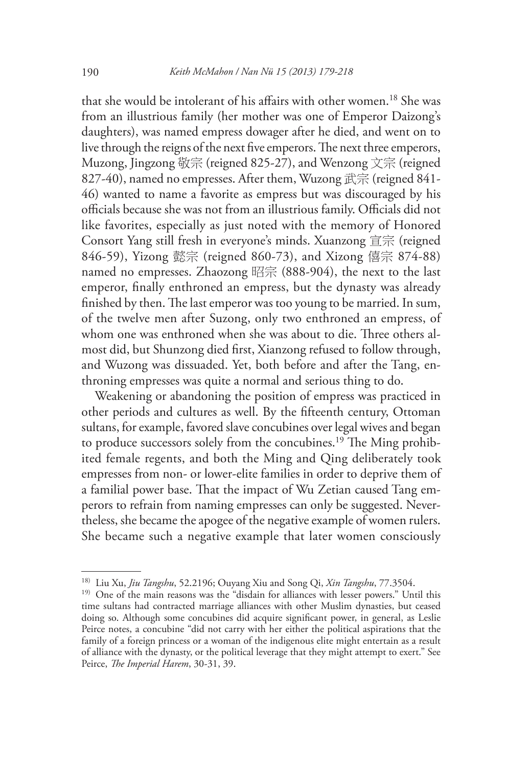that she would be intolerant of his affairs with other women.18 She was from an illustrious family (her mother was one of Emperor Daizong's daughters), was named empress dowager after he died, and went on to live through the reigns of the next five emperors. The next three emperors, Muzong, Jingzong 敬宗 (reigned 825-27), and Wenzong 文宗 (reigned 827-40), named no empresses. After them, Wuzong 武宗 (reigned 841- 46) wanted to name a favorite as empress but was discouraged by his officials because she was not from an illustrious family. Officials did not like favorites, especially as just noted with the memory of Honored Consort Yang still fresh in everyone's minds. Xuanzong 宣宗 (reigned 846-59), Yizong 懿宗 (reigned 860-73), and Xizong 僖宗 874-88) named no empresses. Zhaozong 昭宗 (888-904), the next to the last emperor, finally enthroned an empress, but the dynasty was already finished by then. The last emperor was too young to be married. In sum, of the twelve men after Suzong, only two enthroned an empress, of whom one was enthroned when she was about to die. Three others almost did, but Shunzong died first, Xianzong refused to follow through, and Wuzong was dissuaded. Yet, both before and after the Tang, enthroning empresses was quite a normal and serious thing to do.

Weakening or abandoning the position of empress was practiced in other periods and cultures as well. By the fifteenth century, Ottoman sultans, for example, favored slave concubines over legal wives and began to produce successors solely from the concubines.<sup>19</sup> The Ming prohibited female regents, and both the Ming and Qing deliberately took empresses from non- or lower-elite families in order to deprive them of a familial power base. That the impact of Wu Zetian caused Tang emperors to refrain from naming empresses can only be suggested. Nevertheless, she became the apogee of the negative example of women rulers. She became such a negative example that later women consciously

<sup>18)</sup> Liu Xu, *Jiu Tangshu*, 52.2196; Ouyang Xiu and Song Qi, *Xin Tangshu*, 77.3504.

<sup>19)</sup> One of the main reasons was the "disdain for alliances with lesser powers." Until this time sultans had contracted marriage alliances with other Muslim dynasties, but ceased doing so. Although some concubines did acquire significant power, in general, as Leslie Peirce notes, a concubine "did not carry with her either the political aspirations that the family of a foreign princess or a woman of the indigenous elite might entertain as a result of alliance with the dynasty, or the political leverage that they might attempt to exert." See Peirce, *The Imperial Harem*, 30-31, 39.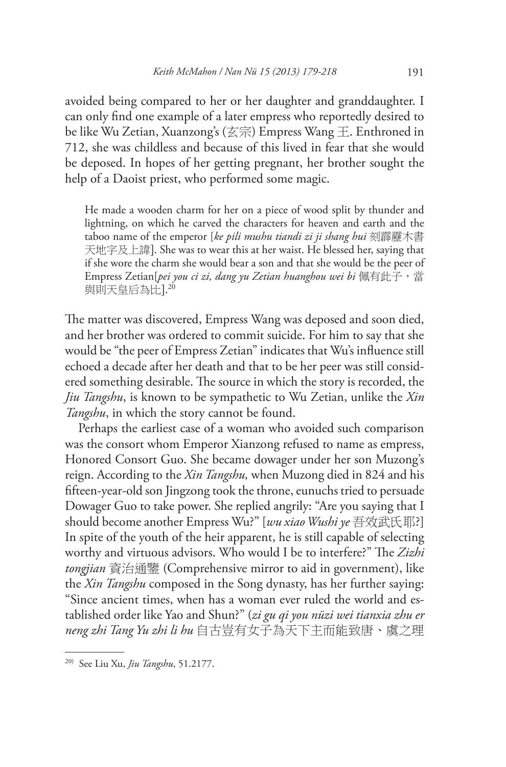avoided being compared to her or her daughter and granddaughter. I can only find one example of a later empress who reportedly desired to be like Wu Zetian, Xuanzong's (玄宗) Empress Wang 王. Enthroned in 712, she was childless and because of this lived in fear that she would be deposed. In hopes of her getting pregnant, her brother sought the help of a Daoist priest, who performed some magic.

He made a wooden charm for her on a piece of wood split by thunder and lightning, on which he carved the characters for heaven and earth and the taboo name of the emperor [*ke pili mushu tiandi zi ji shang hui* 刻霹靂木書 天地字及上諱]. She was to wear this at her waist. He blessed her, saying that if she wore the charm she would bear a son and that she would be the peer of Empress Zetian[pei you ci zi, dang yu Zetian huanghou wei bi 佩有此子,當 與則天皇后為比]. 20

The matter was discovered, Empress Wang was deposed and soon died, and her brother was ordered to commit suicide. For him to say that she would be "the peer of Empress Zetian" indicates that Wu's influence still echoed a decade after her death and that to be her peer was still considered something desirable. The source in which the story is recorded, the *Jiu Tangshu*, is known to be sympathetic to Wu Zetian, unlike the *Xin Tangshu*, in which the story cannot be found.

Perhaps the earliest case of a woman who avoided such comparison was the consort whom Emperor Xianzong refused to name as empress, Honored Consort Guo. She became dowager under her son Muzong's reign. According to the *Xin Tangshu,* when Muzong died in 824 and his fifteen-year-old son Jingzong took the throne, eunuchs tried to persuade Dowager Guo to take power. She replied angrily: "Are you saying that I should become another Empress Wu?" [*wu xiao Wushi ye* 吾效武氏耶?] In spite of the youth of the heir apparent, he is still capable of selecting worthy and virtuous advisors. Who would I be to interfere?" The *Zizhi tongjian* 資治通鑒 (Comprehensive mirror to aid in government), like the *Xin Tangshu* composed in the Song dynasty, has her further saying: "Since ancient times, when has a woman ever ruled the world and established order like Yao and Shun?" (*zi gu qi you nüzi wei tianxia zhu er neng zhi Tang Yu zhi li hu* 自古豈有女子為天下主而能致唐、虞之理

<sup>20)</sup> See Liu Xu, *Jiu Tangshu*, 51.2177.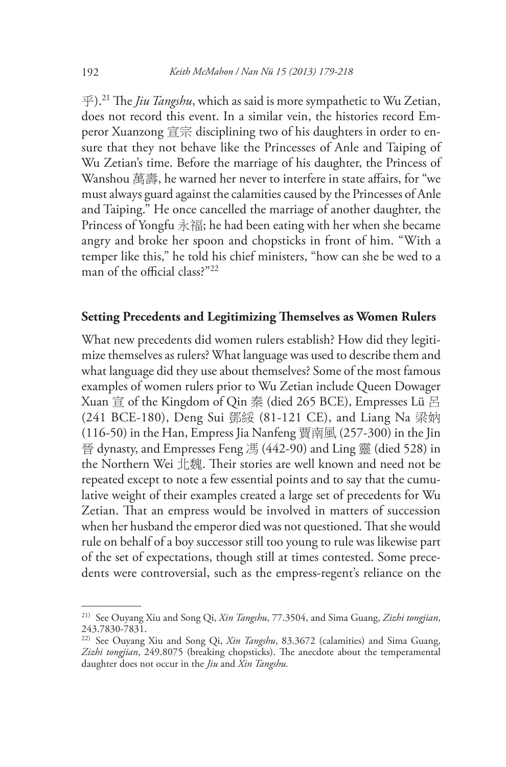乎).21 The *Jiu Tangshu*, which as said is more sympathetic to Wu Zetian, does not record this event. In a similar vein, the histories record Emperor Xuanzong 宣宗 disciplining two of his daughters in order to ensure that they not behave like the Princesses of Anle and Taiping of Wu Zetian's time. Before the marriage of his daughter, the Princess of Wanshou 萬壽, he warned her never to interfere in state affairs, for "we must always guard against the calamities caused by the Princesses of Anle and Taiping." He once cancelled the marriage of another daughter, the Princess of Yongfu 永福; he had been eating with her when she became angry and broke her spoon and chopsticks in front of him. "With a temper like this," he told his chief ministers, "how can she be wed to a man of the official class?"<sup>22</sup>

#### **Setting Precedents and Legitimizing Themselves as Women Rulers**

What new precedents did women rulers establish? How did they legitimize themselves as rulers? What language was used to describe them and what language did they use about themselves? Some of the most famous examples of women rulers prior to Wu Zetian include Queen Dowager Xuan 宣 of the Kingdom of Qin 秦 (died 265 BCE), Empresses Lü 呂 (241 BCE-180), Deng Sui 鄧綏 (81-121 CE), and Liang Na 梁妠 (116-50) in the Han, Empress Jia Nanfeng 賈南風 (257-300) in the Jin 晉 dynasty, and Empresses Feng 馮 (442-90) and Ling 靈 (died 528) in the Northern Wei 北魏. Their stories are well known and need not be repeated except to note a few essential points and to say that the cumulative weight of their examples created a large set of precedents for Wu Zetian. That an empress would be involved in matters of succession when her husband the emperor died was not questioned. That she would rule on behalf of a boy successor still too young to rule was likewise part of the set of expectations, though still at times contested. Some precedents were controversial, such as the empress-regent's reliance on the

<sup>21)</sup> See Ouyang Xiu and Song Qi, *Xin Tangshu*, 77.3504, and Sima Guang, *Zizhi tongjian*, 243.7830-7831.

<sup>22)</sup> See Ouyang Xiu and Song Qi, *Xin Tangshu*, 83.3672 (calamities) and Sima Guang, *Zizhi tongjian*, 249.8075 (breaking chopsticks). The anecdote about the temperamental daughter does not occur in the *Jiu* and *Xin Tangshu.*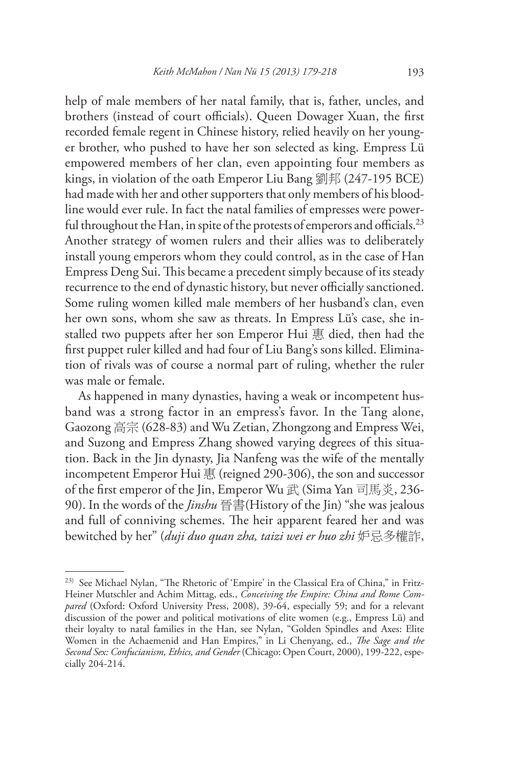help of male members of her natal family, that is, father, uncles, and brothers (instead of court officials). Queen Dowager Xuan, the first recorded female regent in Chinese history, relied heavily on her younger brother, who pushed to have her son selected as king. Empress Lü empowered members of her clan, even appointing four members as kings, in violation of the oath Emperor Liu Bang 劉邦 (247-195 BCE) had made with her and other supporters that only members of his bloodline would ever rule. In fact the natal families of empresses were powerful throughout the Han, in spite of the protests of emperors and officials.<sup>23</sup> Another strategy of women rulers and their allies was to deliberately install young emperors whom they could control, as in the case of Han Empress Deng Sui. This became a precedent simply because of its steady recurrence to the end of dynastic history, but never officially sanctioned. Some ruling women killed male members of her husband's clan, even her own sons, whom she saw as threats. In Empress Lü's case, she installed two puppets after her son Emperor Hui 惠 died, then had the first puppet ruler killed and had four of Liu Bang's sons killed. Elimination of rivals was of course a normal part of ruling, whether the ruler was male or female.

As happened in many dynasties, having a weak or incompetent husband was a strong factor in an empress's favor. In the Tang alone, Gaozong 高宗 (628-83) and Wu Zetian, Zhongzong and Empress Wei, and Suzong and Empress Zhang showed varying degrees of this situation. Back in the Jin dynasty, Jia Nanfeng was the wife of the mentally incompetent Emperor Hui 惠 (reigned 290-306), the son and successor of the first emperor of the Jin, Emperor Wu 武 (Sima Yan 司馬炎, 236- 90). In the words of the *Jinshu* 晉書(History of the Jin) "she was jealous and full of conniving schemes. The heir apparent feared her and was bewitched by her" (*duji duo quan zha, taizi wei er huo zhi* 妒忌多權詐,

<sup>23)</sup> See Michael Nylan, "The Rhetoric of 'Empire' in the Classical Era of China," in Fritz-Heiner Mutschler and Achim Mittag, eds., *Conceiving the Empire: China and Rome Compared* (Oxford: Oxford University Press, 2008), 39-64, especially 59; and for a relevant discussion of the power and political motivations of elite women (e.g., Empress Lü) and their loyalty to natal families in the Han, see Nylan, "Golden Spindles and Axes: Elite Women in the Achaemenid and Han Empires," in Li Chenyang, ed., *The Sage and the Second Sex: Confucianism, Ethics, and Gender* (Chicago: Open Court, 2000), 199-222, especially 204-214.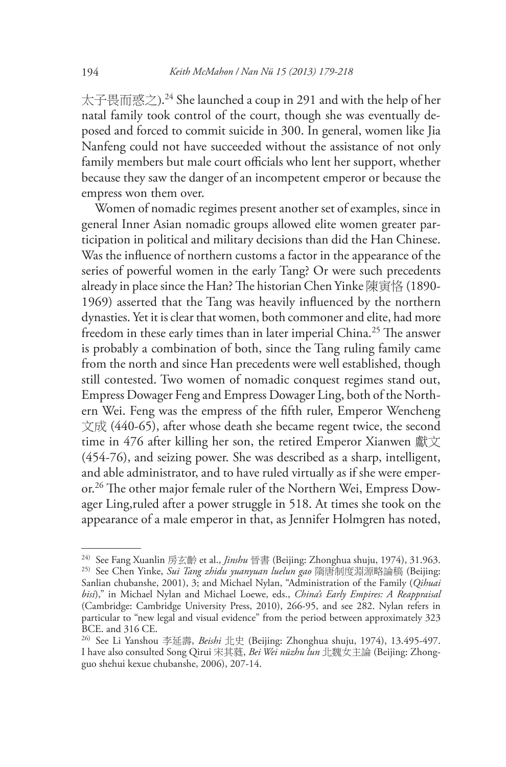太子畏而惑之). 24 She launched a coup in 291 and with the help of her natal family took control of the court, though she was eventually deposed and forced to commit suicide in 300. In general, women like Jia Nanfeng could not have succeeded without the assistance of not only family members but male court officials who lent her support, whether because they saw the danger of an incompetent emperor or because the empress won them over.

Women of nomadic regimes present another set of examples, since in general Inner Asian nomadic groups allowed elite women greater participation in political and military decisions than did the Han Chinese. Was the influence of northern customs a factor in the appearance of the series of powerful women in the early Tang? Or were such precedents already in place since the Han? The historian Chen Yinke 陳寅恪 (1890- 1969) asserted that the Tang was heavily influenced by the northern dynasties. Yet it is clear that women, both commoner and elite, had more freedom in these early times than in later imperial China.25 The answer is probably a combination of both, since the Tang ruling family came from the north and since Han precedents were well established, though still contested. Two women of nomadic conquest regimes stand out, Empress Dowager Feng and Empress Dowager Ling, both of the Northern Wei. Feng was the empress of the fifth ruler, Emperor Wencheng 文成 (440-65), after whose death she became regent twice, the second time in 476 after killing her son, the retired Emperor Xianwen 獻文 (454-76), and seizing power. She was described as a sharp, intelligent, and able administrator, and to have ruled virtually as if she were emperor.26 The other major female ruler of the Northern Wei, Empress Dowager Ling,ruled after a power struggle in 518. At times she took on the appearance of a male emperor in that, as Jennifer Holmgren has noted,

<sup>24)</sup> See Fang Xuanlin 房玄齡 et al., *Jinshu* 晉書 (Beijing: Zhonghua shuju, 1974), 31.963. 25) See Chen Yinke, *Sui Tang zhidu yuanyuan luelun gao* 隋唐制度淵源略論稿 (Beijing: Sanlian chubanshe, 2001), 3; and Michael Nylan, "Administration of the Family (*Qihuai bisi*)," in Michael Nylan and Michael Loewe, eds., *China's Early Empires: A Reappraisal* (Cambridge: Cambridge University Press, 2010), 266-95, and see 282. Nylan refers in particular to "new legal and visual evidence" from the period between approximately 323 BCE. and 316 CE.

<sup>26)</sup> See Li Yanshou 李延壽, *Beishi* 北史 (Beijing: Zhonghua shuju, 1974), 13.495-497. I have also consulted Song Qirui 宋其蕤, *Bei Wei nüzhu lun* 北魏女主論 (Beijing: Zhongguo shehui kexue chubanshe, 2006), 207-14.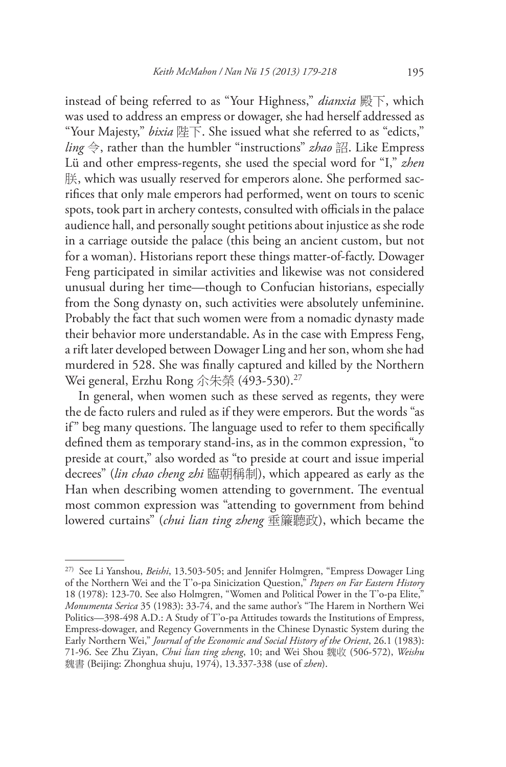instead of being referred to as "Your Highness," *dianxia* 殿下, which was used to address an empress or dowager, she had herself addressed as "Your Majesty," *bixia* 陛下. She issued what she referred to as "edicts," *ling* 令, rather than the humbler "instructions" *zhao* 詔. Like Empress Lü and other empress-regents, she used the special word for "I," *zhen*  朕, which was usually reserved for emperors alone. She performed sacrifices that only male emperors had performed, went on tours to scenic spots, took part in archery contests, consulted with officials in the palace audience hall, and personally sought petitions about injustice as she rode in a carriage outside the palace (this being an ancient custom, but not for a woman). Historians report these things matter-of-factly. Dowager Feng participated in similar activities and likewise was not considered unusual during her time—though to Confucian historians, especially from the Song dynasty on, such activities were absolutely unfeminine. Probably the fact that such women were from a nomadic dynasty made their behavior more understandable. As in the case with Empress Feng, a rift later developed between Dowager Ling and her son, whom she had murdered in 528. She was finally captured and killed by the Northern Wei general, Erzhu Rong 尒朱榮 (493-530).<sup>27</sup>

In general, when women such as these served as regents, they were the de facto rulers and ruled as if they were emperors. But the words "as if" beg many questions. The language used to refer to them specifically defined them as temporary stand-ins, as in the common expression, "to preside at court," also worded as "to preside at court and issue imperial decrees" (*lin chao cheng zhi* 臨朝稱制), which appeared as early as the Han when describing women attending to government. The eventual most common expression was "attending to government from behind lowered curtains" (*chui lian ting zheng* 垂簾聽政), which became the

<sup>27)</sup> See Li Yanshou, *Beishi*, 13.503-505; and Jennifer Holmgren, "Empress Dowager Ling of the Northern Wei and the T'o-pa Sinicization Question," *Papers on Far Eastern History* 18 (1978): 123-70. See also Holmgren, "Women and Political Power in the T'o-pa Elite," *Monumenta Serica* 35 (1983): 33-74, and the same author's "The Harem in Northern Wei Politics—398-498 A.D.: A Study of T'o-pa Attitudes towards the Institutions of Empress, Empress-dowager, and Regency Governments in the Chinese Dynastic System during the Early Northern Wei," *Journal of the Economic and Social History of the Orient*, 26.1 (1983): 71-96. See Zhu Ziyan, *Chui lian ting zheng*, 10; and Wei Shou 魏收 (506-572), *Weishu*  魏書 (Beijing: Zhonghua shuju, 1974), 13.337-338 (use of *zhen*).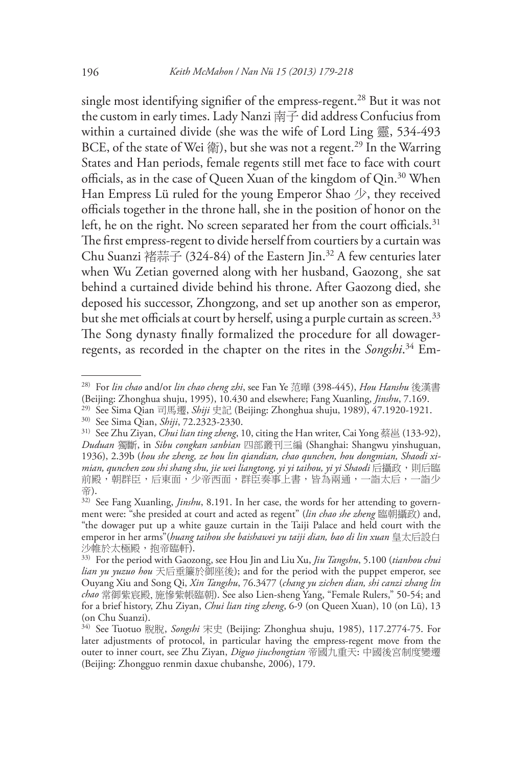single most identifying signifier of the empress-regent.<sup>28</sup> But it was not the custom in early times. Lady Nanzi 南子 did address Confucius from within a curtained divide (she was the wife of Lord Ling 靈, 534-493 BCE, of the state of Wei 衛), but she was not a regent.<sup>29</sup> In the Warring States and Han periods, female regents still met face to face with court officials, as in the case of Queen Xuan of the kingdom of Qin.<sup>30</sup> When Han Empress Lü ruled for the young Emperor Shao 少, they received officials together in the throne hall, she in the position of honor on the left, he on the right. No screen separated her from the court officials.<sup>31</sup> The first empress-regent to divide herself from courtiers by a curtain was Chu Suanzi 褚蒜子 (324-84) of the Eastern Jin.32 A few centuries later when Wu Zetian governed along with her husband, Gaozong¸ she sat behind a curtained divide behind his throne. After Gaozong died, she deposed his successor, Zhongzong, and set up another son as emperor, but she met officials at court by herself, using a purple curtain as screen.<sup>33</sup> The Song dynasty finally formalized the procedure for all dowagerregents, as recorded in the chapter on the rites in the *Songshi*. 34 Em-

<sup>28)</sup> For *lin chao* and/or *lin chao cheng zhi*, see Fan Ye 范曄 (398-445), *Hou Hanshu* 後漢書 (Beijing: Zhonghua shuju, 1995), 10.430 and elsewhere; Fang Xuanling, *Jinshu*, 7.169.

<sup>29)</sup> See Sima Qian 司馬遷, *Shiji* 史記 (Beijing: Zhonghua shuju, 1989), 47.1920-1921.

<sup>30)</sup> See Sima Qian, *Shiji*, 72.2323-2330.

<sup>31)</sup> See Zhu Ziyan, *Chui lian ting zheng*, 10, citing the Han writer, Cai Yong 蔡邕 (133-92), *Duduan* 獨斷, in *Sibu congkan sanbian* 四部叢刊三編 (Shanghai: Shangwu yinshuguan, 1936), 2.39b (*hou she zheng, ze hou lin qiandian, chao qunchen, hou dongmian, Shaodi xi mian, qunchen zou shi shang shu, jie wei liangtong, yi yi taihou, yi yi Shaodi* 后攝政,則后臨 前殿,朝群臣,后東面,少帝西面,群臣奏事上書,皆為兩通,一詣太后,一詣少 帝).

<sup>32)</sup> See Fang Xuanling, *Jinshu*, 8.191. In her case, the words for her attending to government were: "she presided at court and acted as regent" (*lin chao she zheng* 臨朝攝政) and, "the dowager put up a white gauze curtain in the Taiji Palace and held court with the emperor in her arms"(*huang taihou she baishawei yu taiji dian, bao di lin xuan* 皇太后設白 沙帷於太極殿,抱帝臨軒).

<sup>33)</sup> For the period with Gaozong, see Hou Jin and Liu Xu, *Jiu Tangshu*, 5.100 (*tianhou chui lian yu yuzuo hou* 天后垂簾於御座後); and for the period with the puppet emperor, see Ouyang Xiu and Song Qi, *Xin Tangshu*, 76.3477 (*chang yu zichen dian, shi canzi zhang lin chao* 常御紫宸殿, 施慘紫帳臨朝). See also Lien-sheng Yang, "Female Rulers," 50-54; and for a brief history, Zhu Ziyan, *Chui lian ting zheng*, 6-9 (on Queen Xuan), 10 (on Lü), 13 (on Chu Suanzi).

<sup>34)</sup> See Tuotuo 脫脫, *Songshi* 宋史 (Beijing: Zhonghua shuju, 1985), 117.2774-75. For later adjustments of protocol, in particular having the empress-regent move from the outer to inner court, see Zhu Ziyan, *Diguo jiuchongtian* 帝國九重天: 中國後宮制度變遷 (Beijing: Zhongguo renmin daxue chubanshe, 2006), 179.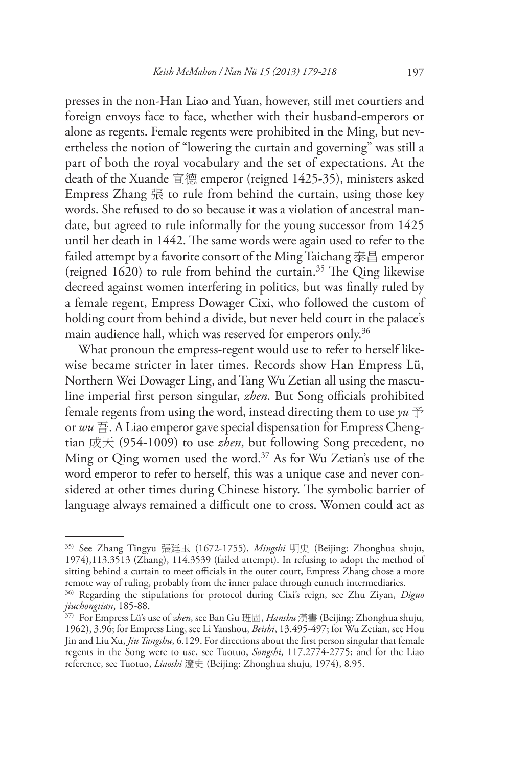presses in the non-Han Liao and Yuan, however, still met courtiers and foreign envoys face to face, whether with their husband-emperors or alone as regents. Female regents were prohibited in the Ming, but nevertheless the notion of "lowering the curtain and governing" was still a part of both the royal vocabulary and the set of expectations. At the death of the Xuande 宣德 emperor (reigned 1425-35), ministers asked Empress Zhang 張 to rule from behind the curtain, using those key words. She refused to do so because it was a violation of ancestral mandate, but agreed to rule informally for the young successor from 1425 until her death in 1442. The same words were again used to refer to the failed attempt by a favorite consort of the Ming Taichang 泰昌 emperor (reigned 1620) to rule from behind the curtain.35 The Qing likewise decreed against women interfering in politics, but was finally ruled by a female regent, Empress Dowager Cixi, who followed the custom of holding court from behind a divide, but never held court in the palace's main audience hall, which was reserved for emperors only.<sup>36</sup>

What pronoun the empress-regent would use to refer to herself likewise became stricter in later times. Records show Han Empress Lü, Northern Wei Dowager Ling, and Tang Wu Zetian all using the masculine imperial first person singular, *zhen*. But Song officials prohibited female regents from using the word, instead directing them to use  $yu \overrightarrow{f}$ or *wu* 吾. A Liao emperor gave special dispensation for Empress Chengtian 成天 (954-1009) to use *zhen*, but following Song precedent, no Ming or Qing women used the word.37 As for Wu Zetian's use of the word emperor to refer to herself, this was a unique case and never considered at other times during Chinese history. The symbolic barrier of language always remained a difficult one to cross. Women could act as

<sup>35)</sup> See Zhang Tingyu 張廷玉 (1672-1755), *Mingshi* 明史 (Beijing: Zhonghua shuju, 1974),113.3513 (Zhang), 114.3539 (failed attempt). In refusing to adopt the method of sitting behind a curtain to meet officials in the outer court, Empress Zhang chose a more remote way of ruling, probably from the inner palace through eunuch intermediaries.

<sup>36)</sup> Regarding the stipulations for protocol during Cixi's reign, see Zhu Ziyan, *Diguo jiuchongtian*, 185-88.

<sup>37)</sup> For Empress Lü's use of *zhen*, see Ban Gu 班固, *Hanshu* 漢書 (Beijing: Zhonghua shuju, 1962), 3.96; for Empress Ling, see Li Yanshou, *Beishi*, 13.495-497; for Wu Zetian, see Hou Jin and Liu Xu, *Jiu Tangshu*, 6.129. For directions about the first person singular that female regents in the Song were to use, see Tuotuo, *Songshi*, 117.2774-2775; and for the Liao reference, see Tuotuo, *Liaoshi* 遼史 (Beijing: Zhonghua shuju, 1974), 8.95.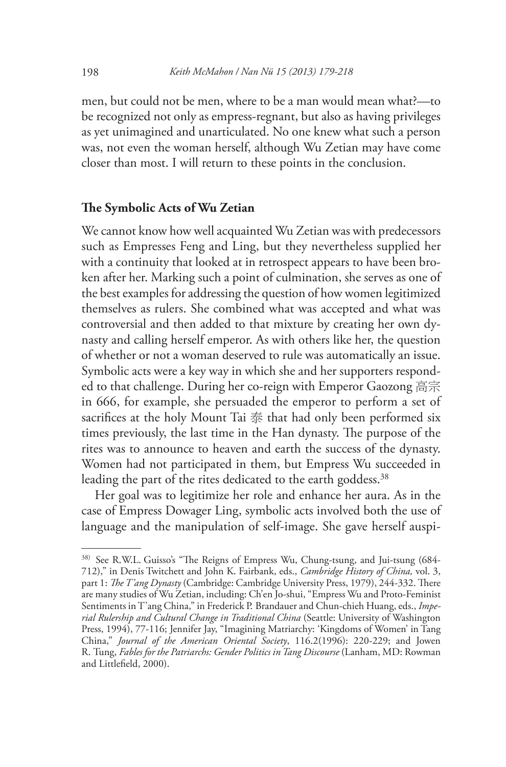men, but could not be men, where to be a man would mean what?—to be recognized not only as empress-regnant, but also as having privileges as yet unimagined and unarticulated. No one knew what such a person was, not even the woman herself, although Wu Zetian may have come closer than most. I will return to these points in the conclusion.

# **The Symbolic Acts of Wu Zetian**

We cannot know how well acquainted Wu Zetian was with predecessors such as Empresses Feng and Ling, but they nevertheless supplied her with a continuity that looked at in retrospect appears to have been broken after her. Marking such a point of culmination, she serves as one of the best examples for addressing the question of how women legitimized themselves as rulers. She combined what was accepted and what was controversial and then added to that mixture by creating her own dynasty and calling herself emperor. As with others like her, the question of whether or not a woman deserved to rule was automatically an issue. Symbolic acts were a key way in which she and her supporters responded to that challenge. During her co-reign with Emperor Gaozong 高宗 in 666, for example, she persuaded the emperor to perform a set of sacrifices at the holy Mount Tai 泰 that had only been performed six times previously, the last time in the Han dynasty. The purpose of the rites was to announce to heaven and earth the success of the dynasty. Women had not participated in them, but Empress Wu succeeded in leading the part of the rites dedicated to the earth goddess.<sup>38</sup>

Her goal was to legitimize her role and enhance her aura. As in the case of Empress Dowager Ling, symbolic acts involved both the use of language and the manipulation of self-image. She gave herself auspi-

<sup>38)</sup> See R.W.L. Guisso's "The Reigns of Empress Wu, Chung-tsung, and Jui-tsung (684- 712)," in Denis Twitchett and John K. Fairbank, eds., *Cambridge History of China,* vol. 3, part 1: *The T'ang Dynasty* (Cambridge: Cambridge University Press, 1979), 244-332. There are many studies of Wu Zetian, including: Ch'en Jo-shui, "Empress Wu and Proto-Feminist Sentiments in T'ang China," in Frederick P. Brandauer and Chun-chieh Huang, eds., *Imperial Rulership and Cultural Change in Traditional China* (Seattle: University of Washington Press, 1994), 77-116; Jennifer Jay, "Imagining Matriarchy: 'Kingdoms of Women' in Tang China," *Journal of the American Oriental Society*, 116.2(1996): 220-229; and Jowen R. Tung, *Fables for the Patriarchs: Gender Politics in Tang Discourse* (Lanham, MD: Rowman and Littlefield, 2000).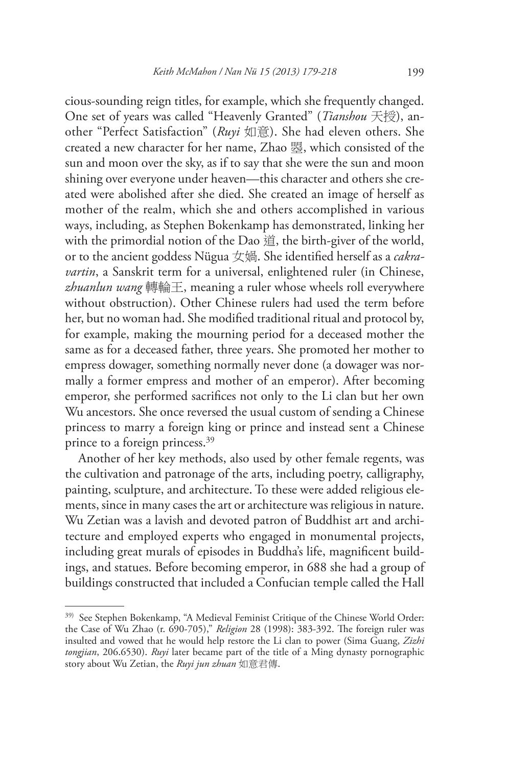cious-sounding reign titles, for example, which she frequently changed. One set of years was called "Heavenly Granted" (*Tianshou* 天授), another "Perfect Satisfaction" (*Ruyi* 如意). She had eleven others. She created a new character for her name, Zhao 曌, which consisted of the sun and moon over the sky, as if to say that she were the sun and moon shining over everyone under heaven—this character and others she created were abolished after she died. She created an image of herself as mother of the realm, which she and others accomplished in various ways, including, as Stephen Bokenkamp has demonstrated, linking her with the primordial notion of the Dao 道, the birth-giver of the world, or to the ancient goddess Nügua 女媧. She identified herself as a *cakravartin*, a Sanskrit term for a universal, enlightened ruler (in Chinese, *zhuanlun wang* 轉輪王, meaning a ruler whose wheels roll everywhere without obstruction). Other Chinese rulers had used the term before her, but no woman had. She modified traditional ritual and protocol by, for example, making the mourning period for a deceased mother the same as for a deceased father, three years. She promoted her mother to empress dowager, something normally never done (a dowager was normally a former empress and mother of an emperor). After becoming emperor, she performed sacrifices not only to the Li clan but her own Wu ancestors. She once reversed the usual custom of sending a Chinese princess to marry a foreign king or prince and instead sent a Chinese prince to a foreign princess.39

Another of her key methods, also used by other female regents, was the cultivation and patronage of the arts, including poetry, calligraphy, painting, sculpture, and architecture. To these were added religious elements, since in many cases the art or architecture was religious in nature. Wu Zetian was a lavish and devoted patron of Buddhist art and architecture and employed experts who engaged in monumental projects, including great murals of episodes in Buddha's life, magnificent buildings, and statues. Before becoming emperor, in 688 she had a group of buildings constructed that included a Confucian temple called the Hall

<sup>39)</sup> See Stephen Bokenkamp, "A Medieval Feminist Critique of the Chinese World Order: the Case of Wu Zhao (r. 690-705)," *Religion* 28 (1998): 383-392. The foreign ruler was insulted and vowed that he would help restore the Li clan to power (Sima Guang, *Zizhi tongjian*, 206.6530). *Ruyi* later became part of the title of a Ming dynasty pornographic story about Wu Zetian, the *Ruyi jun zhuan* 如意君傳.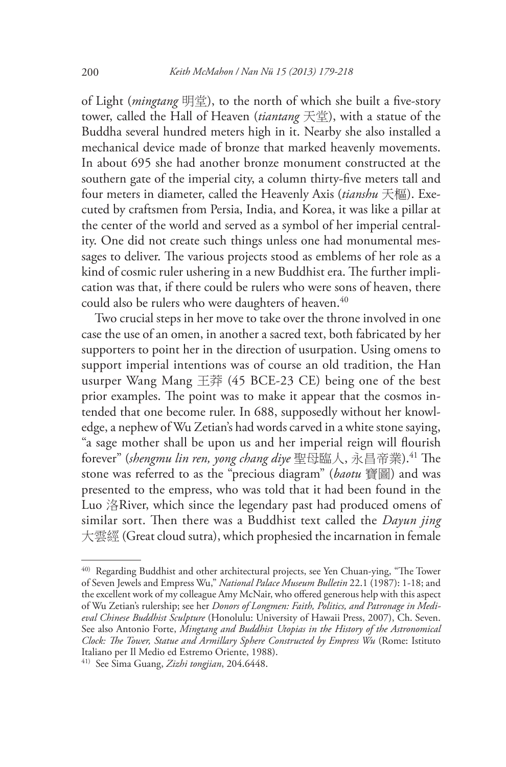of Light (*mingtang* 明堂), to the north of which she built a five-story tower, called the Hall of Heaven (*tiantang* 天堂), with a statue of the Buddha several hundred meters high in it. Nearby she also installed a mechanical device made of bronze that marked heavenly movements. In about 695 she had another bronze monument constructed at the southern gate of the imperial city, a column thirty-five meters tall and four meters in diameter, called the Heavenly Axis (*tianshu* 天樞). Executed by craftsmen from Persia, India, and Korea, it was like a pillar at the center of the world and served as a symbol of her imperial centrality. One did not create such things unless one had monumental messages to deliver. The various projects stood as emblems of her role as a kind of cosmic ruler ushering in a new Buddhist era. The further implication was that, if there could be rulers who were sons of heaven, there could also be rulers who were daughters of heaven.<sup>40</sup>

Two crucial steps in her move to take over the throne involved in one case the use of an omen, in another a sacred text, both fabricated by her supporters to point her in the direction of usurpation. Using omens to support imperial intentions was of course an old tradition, the Han usurper Wang Mang 王莽 (45 BCE-23 CE) being one of the best prior examples. The point was to make it appear that the cosmos intended that one become ruler. In 688, supposedly without her knowledge, a nephew of Wu Zetian's had words carved in a white stone saying, "a sage mother shall be upon us and her imperial reign will flourish forever" (*shengmu lin ren, yong chang diye* 聖母臨人, 永昌帝業).41 The stone was referred to as the "precious diagram" (*baotu* 寶圖) and was presented to the empress, who was told that it had been found in the Luo 洛River, which since the legendary past had produced omens of similar sort. Then there was a Buddhist text called the *Dayun jing*  大雲經 (Great cloud sutra), which prophesied the incarnation in female

<sup>40)</sup> Regarding Buddhist and other architectural projects, see Yen Chuan-ying, "The Tower of Seven Jewels and Empress Wu," *National Palace Museum Bulletin* 22.1 (1987): 1-18; and the excellent work of my colleague Amy McNair, who offered generous help with this aspect of Wu Zetian's rulership; see her *Donors of Longmen: Faith, Politics, and Patronage in Medieval Chinese Buddhist Sculpture* (Honolulu: University of Hawaii Press, 2007), Ch. Seven. See also Antonio Forte, *Mingtang and Buddhist Utopias in the History of the Astronomical Clock: The Tower, Statue and Armillary Sphere Constructed by Empress Wu* (Rome: Istituto Italiano per Il Medio ed Estremo Oriente, 1988).

<sup>41)</sup> See Sima Guang, *Zizhi tongjian*, 204.6448.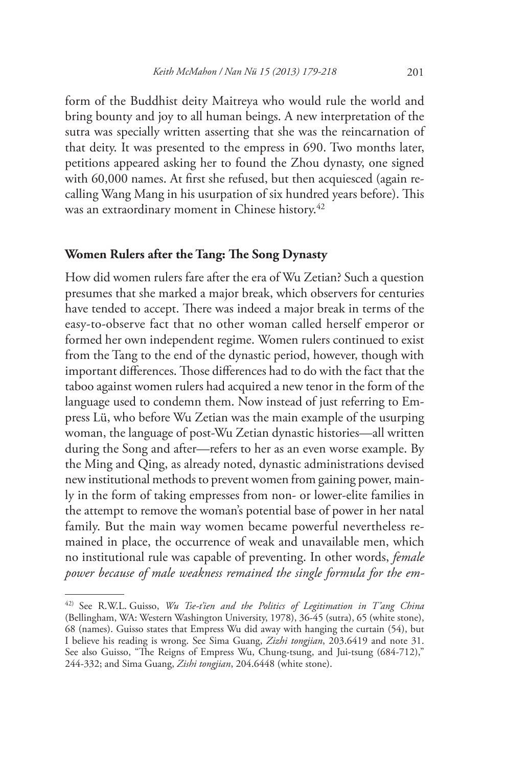form of the Buddhist deity Maitreya who would rule the world and bring bounty and joy to all human beings. A new interpretation of the sutra was specially written asserting that she was the reincarnation of that deity. It was presented to the empress in 690. Two months later, petitions appeared asking her to found the Zhou dynasty, one signed with 60,000 names. At first she refused, but then acquiesced (again recalling Wang Mang in his usurpation of six hundred years before). This was an extraordinary moment in Chinese history.<sup>42</sup>

# **Women Rulers after the Tang: The Song Dynasty**

How did women rulers fare after the era of Wu Zetian? Such a question presumes that she marked a major break, which observers for centuries have tended to accept. There was indeed a major break in terms of the easy-to-observe fact that no other woman called herself emperor or formed her own independent regime. Women rulers continued to exist from the Tang to the end of the dynastic period, however, though with important differences. Those differences had to do with the fact that the taboo against women rulers had acquired a new tenor in the form of the language used to condemn them. Now instead of just referring to Empress Lü, who before Wu Zetian was the main example of the usurping woman, the language of post-Wu Zetian dynastic histories—all written during the Song and after—refers to her as an even worse example. By the Ming and Qing, as already noted, dynastic administrations devised new institutional methods to prevent women from gaining power, mainly in the form of taking empresses from non- or lower-elite families in the attempt to remove the woman's potential base of power in her natal family. But the main way women became powerful nevertheless remained in place, the occurrence of weak and unavailable men, which no institutional rule was capable of preventing. In other words, *female power because of male weakness remained the single formula for the em-*

<sup>42)</sup> See R.W.L. Guisso, *Wu Tse-t'ien and the Politics of Legitimation in T'ang China* (Bellingham, WA: Western Washington University, 1978), 36-45 (sutra), 65 (white stone), 68 (names). Guisso states that Empress Wu did away with hanging the curtain (54), but I believe his reading is wrong. See Sima Guang, *Zizhi tongjian*, 203.6419 and note 31. See also Guisso, "The Reigns of Empress Wu, Chung-tsung, and Jui-tsung (684-712)," 244-332; and Sima Guang, *Zishi tongjian*, 204.6448 (white stone).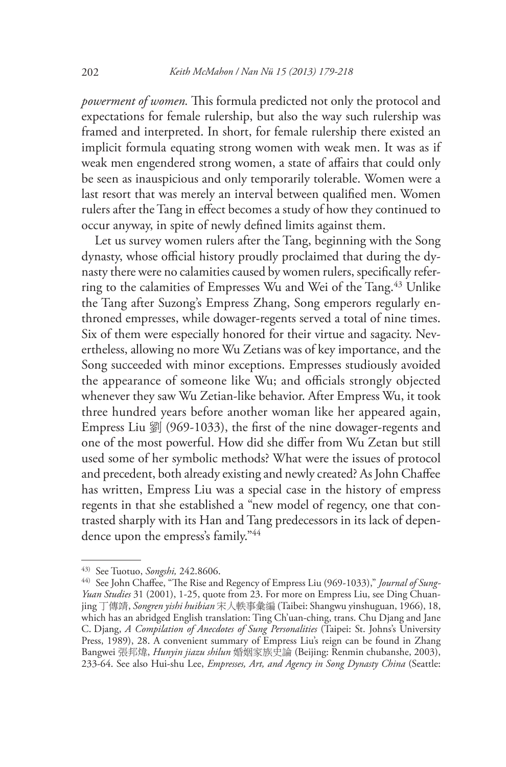*powerment of women.* This formula predicted not only the protocol and expectations for female rulership, but also the way such rulership was framed and interpreted. In short, for female rulership there existed an implicit formula equating strong women with weak men. It was as if weak men engendered strong women, a state of affairs that could only be seen as inauspicious and only temporarily tolerable. Women were a last resort that was merely an interval between qualified men. Women rulers after the Tang in effect becomes a study of how they continued to occur anyway, in spite of newly defined limits against them.

Let us survey women rulers after the Tang, beginning with the Song dynasty, whose official history proudly proclaimed that during the dynasty there were no calamities caused by women rulers, specifically referring to the calamities of Empresses Wu and Wei of the Tang.<sup>43</sup> Unlike the Tang after Suzong's Empress Zhang, Song emperors regularly enthroned empresses, while dowager-regents served a total of nine times. Six of them were especially honored for their virtue and sagacity. Nevertheless, allowing no more Wu Zetians was of key importance, and the Song succeeded with minor exceptions. Empresses studiously avoided the appearance of someone like Wu; and officials strongly objected whenever they saw Wu Zetian-like behavior. After Empress Wu, it took three hundred years before another woman like her appeared again, Empress Liu 劉 (969-1033), the first of the nine dowager-regents and one of the most powerful. How did she differ from Wu Zetan but still used some of her symbolic methods? What were the issues of protocol and precedent, both already existing and newly created? As John Chaffee has written, Empress Liu was a special case in the history of empress regents in that she established a "new model of regency, one that contrasted sharply with its Han and Tang predecessors in its lack of dependence upon the empress's family."44

<sup>43)</sup> See Tuotuo, *Songshi,* 242.8606.

<sup>44)</sup> See John Chaffee, "The Rise and Regency of Empress Liu (969-1033)," *Journal of Sung-Yuan Studies* 31 (2001), 1-25, quote from 23. For more on Empress Liu, see Ding Chuanjing 丁傳靖, *Songren yishi huibian* 宋人軼事彙編 (Taibei: Shangwu yinshuguan, 1966), 18, which has an abridged English translation: Ting Ch'uan-ching, trans. Chu Djang and Jane C. Djang, *A Compilation of Anecdotes of Sung Personalities* (Taipei: St. Johns's University Press, 1989), 28. A convenient summary of Empress Liu's reign can be found in Zhang Bangwei 張邦煒, *Hunyin jiazu shilun* 婚姻家族史論 (Beijing: Renmin chubanshe, 2003), 233-64. See also Hui-shu Lee, *Empresses, Art, and Agency in Song Dynasty China* (Seattle: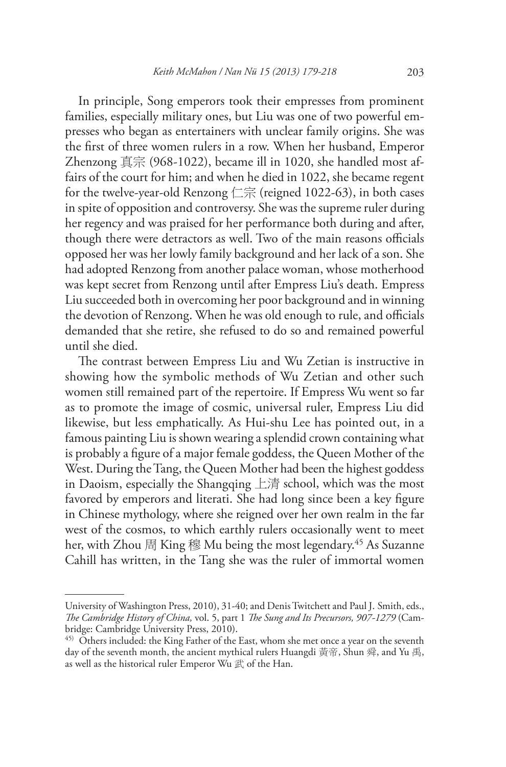In principle, Song emperors took their empresses from prominent families, especially military ones, but Liu was one of two powerful empresses who began as entertainers with unclear family origins. She was the first of three women rulers in a row. When her husband, Emperor Zhenzong 真宗 (968-1022), became ill in 1020, she handled most affairs of the court for him; and when he died in 1022, she became regent for the twelve-year-old Renzong  $\Box \Xi$  (reigned 1022-63), in both cases in spite of opposition and controversy. She was the supreme ruler during her regency and was praised for her performance both during and after, though there were detractors as well. Two of the main reasons officials opposed her was her lowly family background and her lack of a son. She had adopted Renzong from another palace woman, whose motherhood was kept secret from Renzong until after Empress Liu's death. Empress Liu succeeded both in overcoming her poor background and in winning the devotion of Renzong. When he was old enough to rule, and officials demanded that she retire, she refused to do so and remained powerful until she died.

The contrast between Empress Liu and Wu Zetian is instructive in showing how the symbolic methods of Wu Zetian and other such women still remained part of the repertoire. If Empress Wu went so far as to promote the image of cosmic, universal ruler, Empress Liu did likewise, but less emphatically. As Hui-shu Lee has pointed out, in a famous painting Liu is shown wearing a splendid crown containing what is probably a figure of a major female goddess, the Queen Mother of the West. During the Tang, the Queen Mother had been the highest goddess in Daoism, especially the Shangqing 上清 school, which was the most favored by emperors and literati. She had long since been a key figure in Chinese mythology, where she reigned over her own realm in the far west of the cosmos, to which earthly rulers occasionally went to meet her, with Zhou 周 King 穆 Mu being the most legendary.<sup>45</sup> As Suzanne Cahill has written, in the Tang she was the ruler of immortal women

University of Washington Press, 2010), 31-40; and Denis Twitchett and Paul J. Smith, eds., *The Cambridge History of China,* vol. 5, part 1 *The Sung and Its Precursors, 907-1279* (Cambridge: Cambridge University Press, 2010).

<sup>45)</sup> Others included: the King Father of the East, whom she met once a year on the seventh day of the seventh month, the ancient mythical rulers Huangdi 黃帝, Shun 舜, and Yu 禹, as well as the historical ruler Emperor Wu  $\mathbb{\vec{E}}$  of the Han.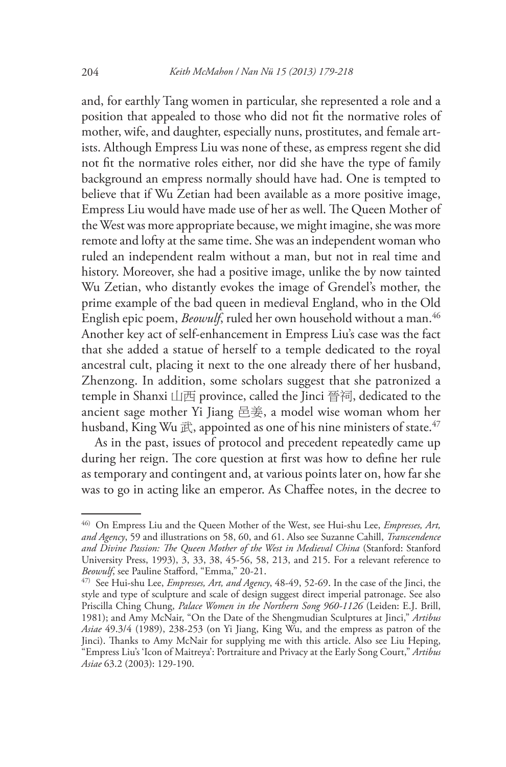and, for earthly Tang women in particular, she represented a role and a position that appealed to those who did not fit the normative roles of mother, wife, and daughter, especially nuns, prostitutes, and female artists. Although Empress Liu was none of these, as empress regent she did not fit the normative roles either, nor did she have the type of family background an empress normally should have had. One is tempted to believe that if Wu Zetian had been available as a more positive image, Empress Liu would have made use of her as well. The Queen Mother of the West was more appropriate because, we might imagine, she was more remote and lofty at the same time. She was an independent woman who ruled an independent realm without a man, but not in real time and history. Moreover, she had a positive image, unlike the by now tainted Wu Zetian, who distantly evokes the image of Grendel's mother, the prime example of the bad queen in medieval England, who in the Old English epic poem, *Beowulf*, ruled her own household without a man.<sup>46</sup> Another key act of self-enhancement in Empress Liu's case was the fact that she added a statue of herself to a temple dedicated to the royal ancestral cult, placing it next to the one already there of her husband, Zhenzong. In addition, some scholars suggest that she patronized a temple in Shanxi 山西 province, called the Jinci 晉祠, dedicated to the ancient sage mother Yi Jiang 邑姜, a model wise woman whom her husband, King Wu  $\vec{E}$ , appointed as one of his nine ministers of state.<sup>47</sup>

As in the past, issues of protocol and precedent repeatedly came up during her reign. The core question at first was how to define her rule as temporary and contingent and, at various points later on, how far she was to go in acting like an emperor. As Chaffee notes, in the decree to

<sup>46)</sup> On Empress Liu and the Queen Mother of the West, see Hui-shu Lee, *Empresses, Art, and Agency*, 59 and illustrations on 58, 60, and 61. Also see Suzanne Cahill, *Transcendence and Divine Passion: The Queen Mother of the West in Medieval China* (Stanford: Stanford University Press, 1993), 3, 33, 38, 45-56, 58, 213, and 215. For a relevant reference to *Beowulf*, see Pauline Stafford, "Emma," 20-21.

<sup>47)</sup> See Hui-shu Lee, *Empresses, Art, and Agency*, 48-49, 52-69. In the case of the Jinci, the style and type of sculpture and scale of design suggest direct imperial patronage. See also Priscilla Ching Chung, *Palace Women in the Northern Song 960-1126* (Leiden: E.J. Brill, 1981); and Amy McNair, "On the Date of the Shengmudian Sculptures at Jinci," *Artibus Asiae* 49.3/4 (1989), 238-253 (on Yi Jiang, King Wu, and the empress as patron of the Jinci). Thanks to Amy McNair for supplying me with this article. Also see Liu Heping, "Empress Liu's 'Icon of Maitreya': Portraiture and Privacy at the Early Song Court," *Artibus Asiae* 63.2 (2003): 129-190.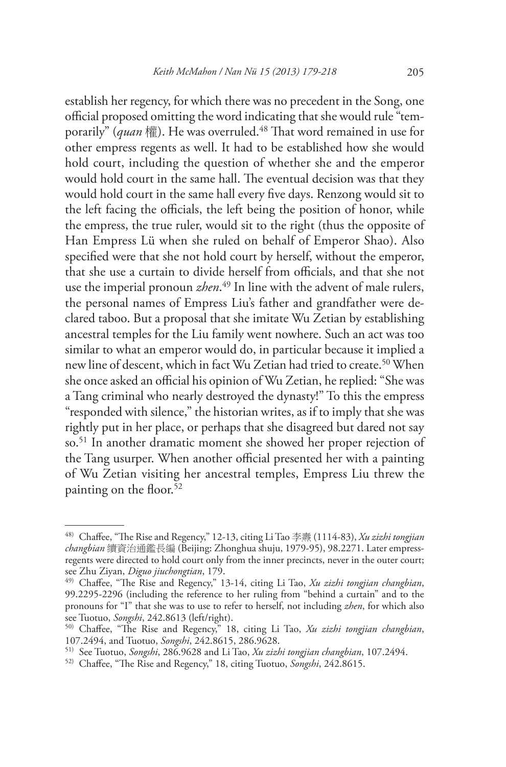establish her regency, for which there was no precedent in the Song, one official proposed omitting the word indicating that she would rule "temporarily" (*quan* 權). He was overruled.48 That word remained in use for other empress regents as well. It had to be established how she would hold court, including the question of whether she and the emperor would hold court in the same hall. The eventual decision was that they would hold court in the same hall every five days. Renzong would sit to the left facing the officials, the left being the position of honor, while the empress, the true ruler, would sit to the right (thus the opposite of Han Empress Lü when she ruled on behalf of Emperor Shao). Also specified were that she not hold court by herself, without the emperor, that she use a curtain to divide herself from officials, and that she not use the imperial pronoun *zhen*. 49 In line with the advent of male rulers, the personal names of Empress Liu's father and grandfather were declared taboo. But a proposal that she imitate Wu Zetian by establishing ancestral temples for the Liu family went nowhere. Such an act was too similar to what an emperor would do, in particular because it implied a new line of descent, which in fact Wu Zetian had tried to create.50 When she once asked an official his opinion of Wu Zetian, he replied: "She was a Tang criminal who nearly destroyed the dynasty!" To this the empress "responded with silence," the historian writes, as if to imply that she was rightly put in her place, or perhaps that she disagreed but dared not say so.51 In another dramatic moment she showed her proper rejection of the Tang usurper. When another official presented her with a painting of Wu Zetian visiting her ancestral temples, Empress Liu threw the painting on the floor. $52$ 

<sup>48)</sup> Chaffee, "The Rise and Regency," 12-13, citing Li Tao 李燾 (1114-83), *Xu zizhi tongjian changbian* 續資治通鑑長編 (Beijing: Zhonghua shuju, 1979-95), 98.2271. Later empressregents were directed to hold court only from the inner precincts, never in the outer court; see Zhu Ziyan, *Diguo jiuchongtian*, 179.

<sup>49)</sup> Chaffee, "The Rise and Regency," 13-14, citing Li Tao, *Xu zizhi tongjian changbian*, 99.2295-2296 (including the reference to her ruling from "behind a curtain" and to the pronouns for "I" that she was to use to refer to herself, not including *zhen*, for which also see Tuotuo, *Songshi*, 242.8613 (left/right).

<sup>50)</sup> Chaffee, "The Rise and Regency," 18, citing Li Tao, *Xu zizhi tongjian changbian*, 107.2494, and Tuotuo, *Songshi*, 242.8615, 286.9628.

<sup>51)</sup> See Tuotuo, *Songshi*, 286.9628 and Li Tao, *Xu zizhi tongjian changbian*, 107.2494.

<sup>52)</sup> Chaffee, "The Rise and Regency," 18, citing Tuotuo, *Songshi*, 242.8615.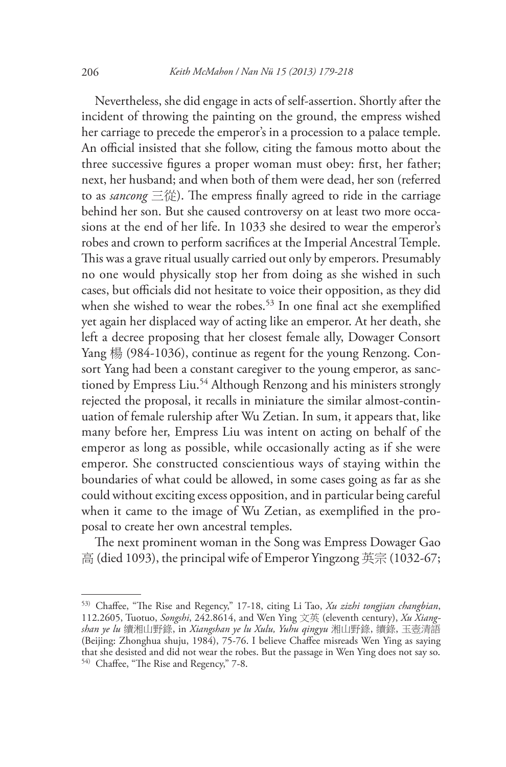Nevertheless, she did engage in acts of self-assertion. Shortly after the incident of throwing the painting on the ground, the empress wished her carriage to precede the emperor's in a procession to a palace temple. An official insisted that she follow, citing the famous motto about the three successive figures a proper woman must obey: first, her father; next, her husband; and when both of them were dead, her son (referred to as *sancong*  $\equiv$   $\frac{1}{10}$ . The empress finally agreed to ride in the carriage behind her son. But she caused controversy on at least two more occasions at the end of her life. In 1033 she desired to wear the emperor's robes and crown to perform sacrifices at the Imperial Ancestral Temple. This was a grave ritual usually carried out only by emperors. Presumably no one would physically stop her from doing as she wished in such cases, but officials did not hesitate to voice their opposition, as they did when she wished to wear the robes.<sup>53</sup> In one final act she exemplified yet again her displaced way of acting like an emperor. At her death, she left a decree proposing that her closest female ally, Dowager Consort Yang 楊 (984-1036), continue as regent for the young Renzong. Consort Yang had been a constant caregiver to the young emperor, as sanctioned by Empress Liu.<sup>54</sup> Although Renzong and his ministers strongly rejected the proposal, it recalls in miniature the similar almost-continuation of female rulership after Wu Zetian. In sum, it appears that, like many before her, Empress Liu was intent on acting on behalf of the emperor as long as possible, while occasionally acting as if she were emperor. She constructed conscientious ways of staying within the boundaries of what could be allowed, in some cases going as far as she could without exciting excess opposition, and in particular being careful when it came to the image of Wu Zetian, as exemplified in the proposal to create her own ancestral temples.

The next prominent woman in the Song was Empress Dowager Gao 高 (died 1093), the principal wife of Emperor Yingzong 英宗 (1032-67;

<sup>53)</sup> Chaffee, "The Rise and Regency," 17-18, citing Li Tao, *Xu zizhi tongjian changbian*, 112.2605, Tuotuo, *Songshi*, 242.8614, and Wen Ying 文英 (eleventh century), *Xu Xiangshan ye lu* 續湘山野錄, in *Xiangshan ye lu Xulu, Yuhu qingyu* 湘山野錄, 續錄, 玉壺清語 (Beijing: Zhonghua shuju, 1984), 75-76. I believe Chaffee misreads Wen Ying as saying that she desisted and did not wear the robes. But the passage in Wen Ying does not say so. 54) Chaffee, "The Rise and Regency," 7-8.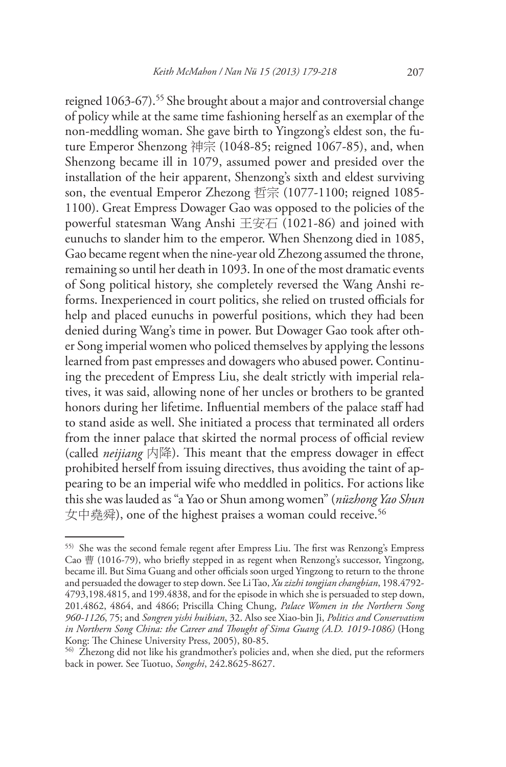reigned 1063-67).<sup>55</sup> She brought about a major and controversial change of policy while at the same time fashioning herself as an exemplar of the non-meddling woman. She gave birth to Yingzong's eldest son, the future Emperor Shenzong 神宗 (1048-85; reigned 1067-85), and, when Shenzong became ill in 1079, assumed power and presided over the installation of the heir apparent, Shenzong's sixth and eldest surviving son, the eventual Emperor Zhezong 哲宗 (1077-1100; reigned 1085- 1100). Great Empress Dowager Gao was opposed to the policies of the powerful statesman Wang Anshi 王安石 (1021-86) and joined with eunuchs to slander him to the emperor. When Shenzong died in 1085, Gao became regent when the nine-year old Zhezong assumed the throne, remaining so until her death in 1093. In one of the most dramatic events of Song political history, she completely reversed the Wang Anshi reforms. Inexperienced in court politics, she relied on trusted officials for help and placed eunuchs in powerful positions, which they had been denied during Wang's time in power. But Dowager Gao took after other Song imperial women who policed themselves by applying the lessons learned from past empresses and dowagers who abused power. Continuing the precedent of Empress Liu, she dealt strictly with imperial relatives, it was said, allowing none of her uncles or brothers to be granted honors during her lifetime. Influential members of the palace staff had to stand aside as well. She initiated a process that terminated all orders from the inner palace that skirted the normal process of official review (called *neijiang* 内降). This meant that the empress dowager in effect prohibited herself from issuing directives, thus avoiding the taint of appearing to be an imperial wife who meddled in politics. For actions like this she was lauded as "a Yao or Shun among women" (*nüzhong Yao Shun* 女中堯舜), one of the highest praises a woman could receive.56

<sup>55)</sup> She was the second female regent after Empress Liu. The first was Renzong's Empress Cao 曹 (1016-79), who briefly stepped in as regent when Renzong's successor, Yingzong, became ill. But Sima Guang and other officials soon urged Yingzong to return to the throne and persuaded the dowager to step down. See Li Tao, *Xu zizhi tongjian changbian*, 198.4792- 4793,198.4815, and 199.4838, and for the episode in which she is persuaded to step down, 201.4862, 4864, and 4866; Priscilla Ching Chung, *Palace Women in the Northern Song 960-1126*, 75; and *Songren yishi huibian*, 32. Also see Xiao-bin Ji, *Politics and Conservatism in Northern Song China: the Career and Thought of Sima Guang (A.D. 1019-1086)* (Hong Kong: The Chinese University Press, 2005), 80-85.

<sup>56)</sup> Zhezong did not like his grandmother's policies and, when she died, put the reformers back in power. See Tuotuo, *Songshi*, 242.8625-8627.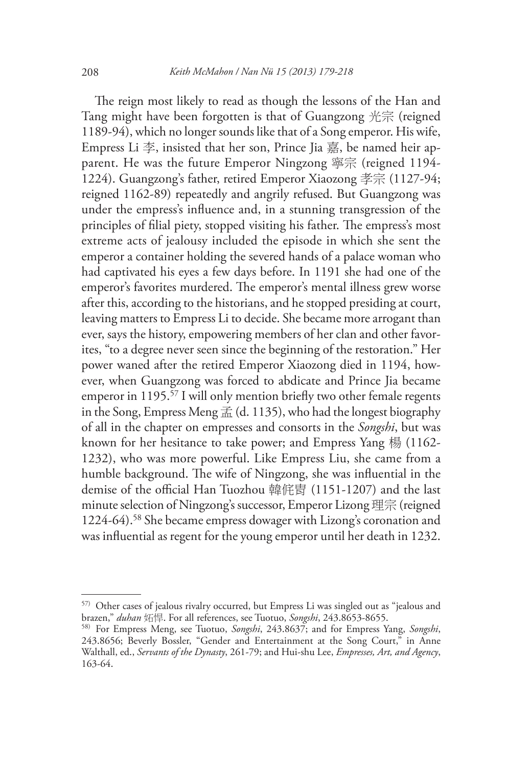The reign most likely to read as though the lessons of the Han and Tang might have been forgotten is that of Guangzong 光宗 (reigned 1189-94), which no longer sounds like that of a Song emperor. His wife, Empress Li 李, insisted that her son, Prince Jia 嘉, be named heir apparent. He was the future Emperor Ningzong 寧宗 (reigned 1194- 1224). Guangzong's father, retired Emperor Xiaozong 孝宗 (1127-94; reigned 1162-89) repeatedly and angrily refused. But Guangzong was under the empress's influence and, in a stunning transgression of the principles of filial piety, stopped visiting his father. The empress's most extreme acts of jealousy included the episode in which she sent the emperor a container holding the severed hands of a palace woman who had captivated his eyes a few days before. In 1191 she had one of the emperor's favorites murdered. The emperor's mental illness grew worse after this, according to the historians, and he stopped presiding at court, leaving matters to Empress Li to decide. She became more arrogant than ever, says the history, empowering members of her clan and other favorites, "to a degree never seen since the beginning of the restoration." Her power waned after the retired Emperor Xiaozong died in 1194, however, when Guangzong was forced to abdicate and Prince Jia became emperor in 1195.<sup>57</sup> I will only mention briefly two other female regents in the Song, Empress Meng  $\vec{\mathbb{H}}$  (d. 1135), who had the longest biography of all in the chapter on empresses and consorts in the *Songshi*, but was known for her hesitance to take power; and Empress Yang 楊 (1162- 1232), who was more powerful. Like Empress Liu, she came from a humble background. The wife of Ningzong, she was influential in the demise of the official Han Tuozhou 韓侂胄 (1151-1207) and the last minute selection of Ningzong's successor, Emperor Lizong 理宗 (reigned 1224-64).58 She became empress dowager with Lizong's coronation and was influential as regent for the young emperor until her death in 1232.

<sup>57)</sup> Other cases of jealous rivalry occurred, but Empress Li was singled out as "jealous and brazen," *duhan* 妬悍. For all references, see Tuotuo, *Songshi*, 243.8653-8655.

<sup>58)</sup> For Empress Meng, see Tuotuo, *Songshi*, 243.8637; and for Empress Yang, *Songshi*, 243.8656; Beverly Bossler, "Gender and Entertainment at the Song Court," in Anne Walthall, ed., *Servants of the Dynasty*, 261-79; and Hui-shu Lee, *Empresses, Art, and Agency*, 163-64.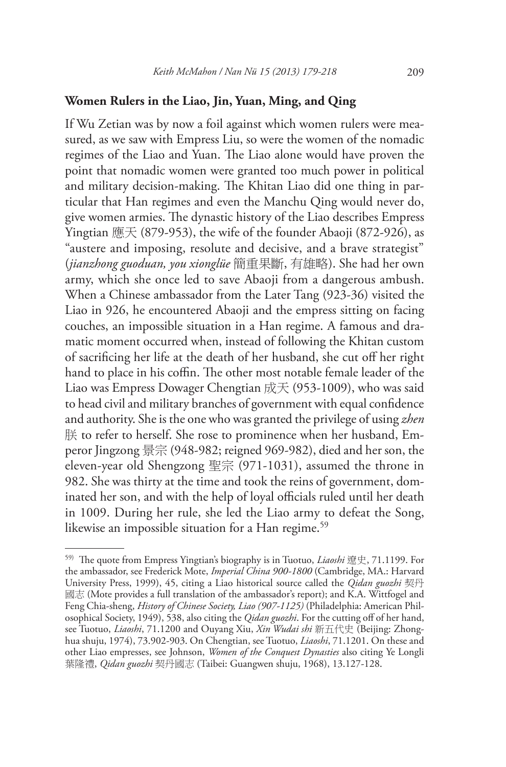# **Women Rulers in the Liao, Jin, Yuan, Ming, and Qing**

If Wu Zetian was by now a foil against which women rulers were measured, as we saw with Empress Liu, so were the women of the nomadic regimes of the Liao and Yuan. The Liao alone would have proven the point that nomadic women were granted too much power in political and military decision-making. The Khitan Liao did one thing in particular that Han regimes and even the Manchu Qing would never do, give women armies. The dynastic history of the Liao describes Empress Yingtian 應天 (879-953), the wife of the founder Abaoji (872-926), as "austere and imposing, resolute and decisive, and a brave strategist" (*jianzhong guoduan, you xionglüe* 簡重果斷, 有雄略). She had her own army, which she once led to save Abaoji from a dangerous ambush. When a Chinese ambassador from the Later Tang (923-36) visited the Liao in 926, he encountered Abaoji and the empress sitting on facing couches, an impossible situation in a Han regime. A famous and dramatic moment occurred when, instead of following the Khitan custom of sacrificing her life at the death of her husband, she cut off her right hand to place in his coffin. The other most notable female leader of the Liao was Empress Dowager Chengtian 成天 (953-1009), who was said to head civil and military branches of government with equal confidence and authority. She is the one who was granted the privilege of using *zhen* 朕 to refer to herself. She rose to prominence when her husband, Emperor Jingzong 景宗 (948-982; reigned 969-982), died and her son, the eleven-year old Shengzong 聖宗 (971-1031), assumed the throne in 982. She was thirty at the time and took the reins of government, dominated her son, and with the help of loyal officials ruled until her death in 1009. During her rule, she led the Liao army to defeat the Song, likewise an impossible situation for a Han regime.<sup>59</sup>

<sup>59)</sup> The quote from Empress Yingtian's biography is in Tuotuo, *Liaoshi* 遼史, 71.1199. For the ambassador, see Frederick Mote, *Imperial China 900-1800* (Cambridge, MA.: Harvard University Press, 1999), 45, citing a Liao historical source called the *Qidan guozhi* 契丹 國志 (Mote provides a full translation of the ambassador's report); and K.A. Wittfogel and Feng Chia-sheng, *History of Chinese Society, Liao (907-1125)* (Philadelphia: American Philosophical Society, 1949), 538, also citing the *Qidan guozhi*. For the cutting off of her hand, see Tuotuo, *Liaoshi*, 71.1200 and Ouyang Xiu, *Xin Wudai shi* 新五代史 (Beijing: Zhonghua shuju, 1974), 73.902-903. On Chengtian, see Tuotuo, *Liaoshi*, 71.1201. On these and other Liao empresses, see Johnson, *Women of the Conquest Dynasties* also citing Ye Longli 葉隆禮, *Qidan guozhi* 契丹國志 (Taibei: Guangwen shuju, 1968), 13.127-128.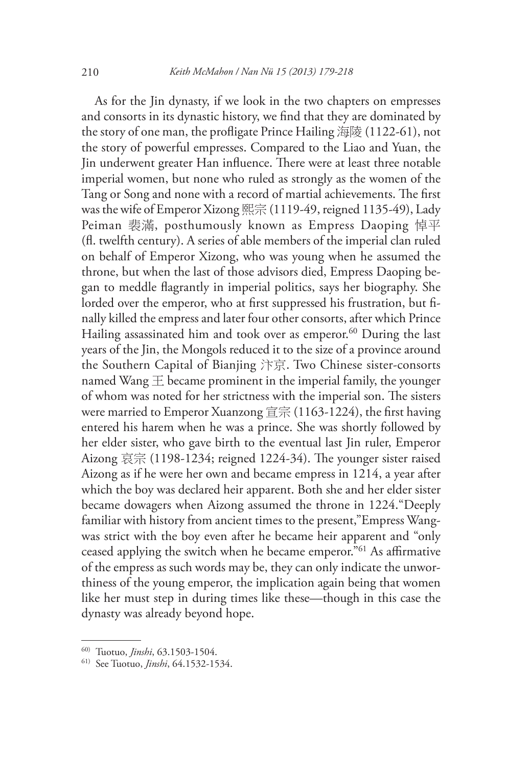As for the Jin dynasty, if we look in the two chapters on empresses and consorts in its dynastic history, we find that they are dominated by the story of one man, the profligate Prince Hailing 海陵 (1122-61), not the story of powerful empresses. Compared to the Liao and Yuan, the Jin underwent greater Han influence. There were at least three notable imperial women, but none who ruled as strongly as the women of the Tang or Song and none with a record of martial achievements. The first was the wife of Emperor Xizong 熙宗 (1119-49, reigned 1135-49), Lady Peiman 裴滿, posthumously known as Empress Daoping 悼平 (fl. twelfth century). A series of able members of the imperial clan ruled on behalf of Emperor Xizong, who was young when he assumed the throne, but when the last of those advisors died, Empress Daoping began to meddle flagrantly in imperial politics, says her biography. She lorded over the emperor, who at first suppressed his frustration, but finally killed the empress and later four other consorts, after which Prince Hailing assassinated him and took over as emperor.<sup>60</sup> During the last years of the Jin, the Mongols reduced it to the size of a province around the Southern Capital of Bianjing 汴京. Two Chinese sister-consorts named Wang  $\pm$  became prominent in the imperial family, the younger of whom was noted for her strictness with the imperial son. The sisters were married to Emperor Xuanzong 宣宗 (1163-1224), the first having entered his harem when he was a prince. She was shortly followed by her elder sister, who gave birth to the eventual last Jin ruler, Emperor Aizong 哀宗 (1198-1234; reigned 1224-34). The younger sister raised Aizong as if he were her own and became empress in 1214, a year after which the boy was declared heir apparent. Both she and her elder sister became dowagers when Aizong assumed the throne in 1224."Deeply familiar with history from ancient times to the present,"Empress Wangwas strict with the boy even after he became heir apparent and "only ceased applying the switch when he became emperor."61 As affirmative of the empress as such words may be, they can only indicate the unworthiness of the young emperor, the implication again being that women like her must step in during times like these—though in this case the dynasty was already beyond hope.

<sup>60)</sup> Tuotuo, *Jinshi*, 63.1503-1504.

<sup>61)</sup> See Tuotuo, *Jinshi*, 64.1532-1534.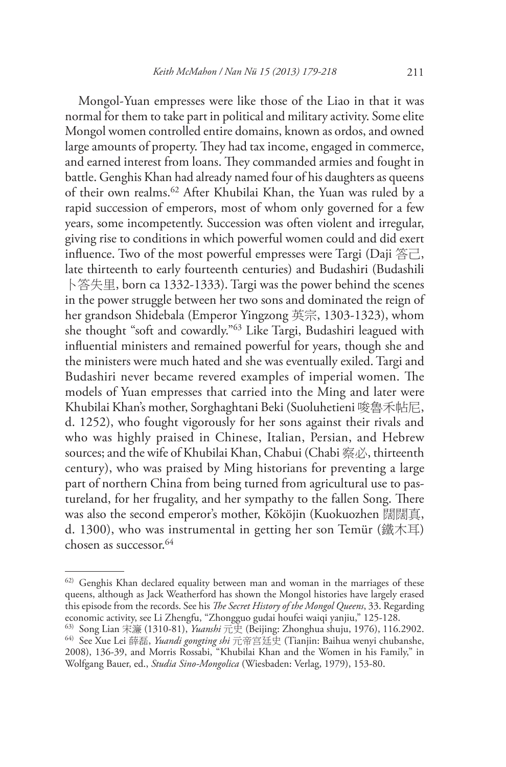Mongol-Yuan empresses were like those of the Liao in that it was normal for them to take part in political and military activity. Some elite Mongol women controlled entire domains, known as ordos, and owned large amounts of property. They had tax income, engaged in commerce, and earned interest from loans. They commanded armies and fought in battle. Genghis Khan had already named four of his daughters as queens of their own realms.62 After Khubilai Khan, the Yuan was ruled by a rapid succession of emperors, most of whom only governed for a few years, some incompetently. Succession was often violent and irregular, giving rise to conditions in which powerful women could and did exert influence. Two of the most powerful empresses were Targi (Daji 答己, late thirteenth to early fourteenth centuries) and Budashiri (Budashili 卜答失里, born ca 1332-1333). Targi was the power behind the scenes in the power struggle between her two sons and dominated the reign of her grandson Shidebala (Emperor Yingzong 英宗, 1303-1323), whom she thought "soft and cowardly."63 Like Targi, Budashiri leagued with influential ministers and remained powerful for years, though she and the ministers were much hated and she was eventually exiled. Targi and Budashiri never became revered examples of imperial women. The models of Yuan empresses that carried into the Ming and later were Khubilai Khan's mother, Sorghaghtani Beki (Suoluhetieni 唆魯禾帖尼, d. 1252), who fought vigorously for her sons against their rivals and who was highly praised in Chinese, Italian, Persian, and Hebrew sources; and the wife of Khubilai Khan, Chabui (Chabi 察必, thirteenth century), who was praised by Ming historians for preventing a large part of northern China from being turned from agricultural use to pastureland, for her frugality, and her sympathy to the fallen Song. There was also the second emperor's mother, Kököjin (Kuokuozhen 闊闊真, d. 1300), who was instrumental in getting her son Temür (鐵木耳) chosen as successor<sup>64</sup>

<sup>62)</sup> Genghis Khan declared equality between man and woman in the marriages of these queens, although as Jack Weatherford has shown the Mongol histories have largely erased this episode from the records. See his *The Secret History of the Mongol Queens*, 33. Regarding economic activity, see Li Zhengfu, "Zhongguo gudai houfei waiqi yanjiu," 125-128.

<sup>63)</sup> Song Lian 宋濂 (1310-81), *Yuanshi* 元史 (Beijing: Zhonghua shuju, 1976), 116.2902. 64) See Xue Lei 薛磊, *Yuandi gongting shi* 元帝宫廷史 (Tianjin: Baihua wenyi chubanshe, 2008), 136-39, and Morris Rossabi, "Khubilai Khan and the Women in his Family," in Wolfgang Bauer, ed., *Studia Sino-Mongolica* (Wiesbaden: Verlag, 1979), 153-80.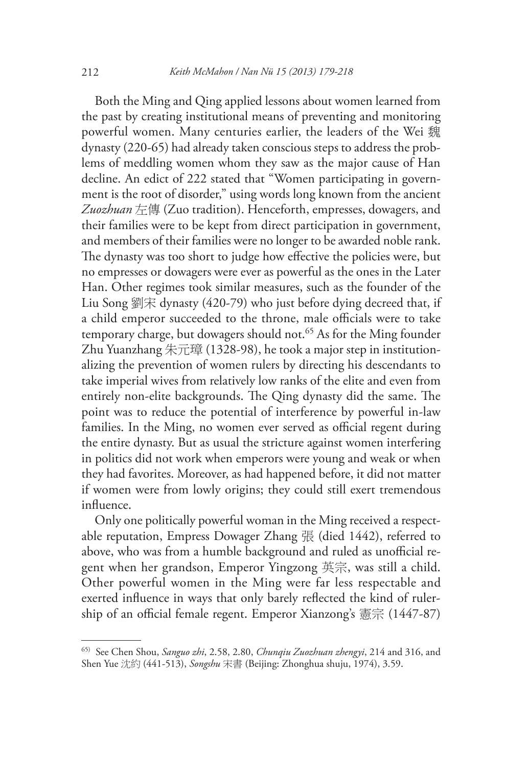Both the Ming and Qing applied lessons about women learned from the past by creating institutional means of preventing and monitoring powerful women. Many centuries earlier, the leaders of the Wei 魏 dynasty (220-65) had already taken conscious steps to address the problems of meddling women whom they saw as the major cause of Han decline. An edict of 222 stated that "Women participating in government is the root of disorder," using words long known from the ancient *Zuozhuan* 左傳 (Zuo tradition). Henceforth, empresses, dowagers, and their families were to be kept from direct participation in government, and members of their families were no longer to be awarded noble rank. The dynasty was too short to judge how effective the policies were, but no empresses or dowagers were ever as powerful as the ones in the Later Han. Other regimes took similar measures, such as the founder of the Liu Song 劉宋 dynasty (420-79) who just before dying decreed that, if a child emperor succeeded to the throne, male officials were to take temporary charge, but dowagers should not.<sup>65</sup> As for the Ming founder Zhu Yuanzhang 朱元璋 (1328-98), he took a major step in institutionalizing the prevention of women rulers by directing his descendants to take imperial wives from relatively low ranks of the elite and even from entirely non-elite backgrounds. The Qing dynasty did the same. The point was to reduce the potential of interference by powerful in-law families. In the Ming, no women ever served as official regent during the entire dynasty. But as usual the stricture against women interfering in politics did not work when emperors were young and weak or when they had favorites. Moreover, as had happened before, it did not matter if women were from lowly origins; they could still exert tremendous influence.

Only one politically powerful woman in the Ming received a respectable reputation, Empress Dowager Zhang 張 (died 1442), referred to above, who was from a humble background and ruled as unofficial regent when her grandson, Emperor Yingzong 英宗, was still a child. Other powerful women in the Ming were far less respectable and exerted influence in ways that only barely reflected the kind of rulership of an official female regent. Emperor Xianzong's 憲宗 (1447-87)

<sup>65)</sup> See Chen Shou, *Sanguo zhi*, 2.58, 2.80, *Chunqiu Zuozhuan zhengyi*, 214 and 316, and Shen Yue 沈約 (441-513), *Songshu* 宋書 (Beijing: Zhonghua shuju, 1974), 3.59.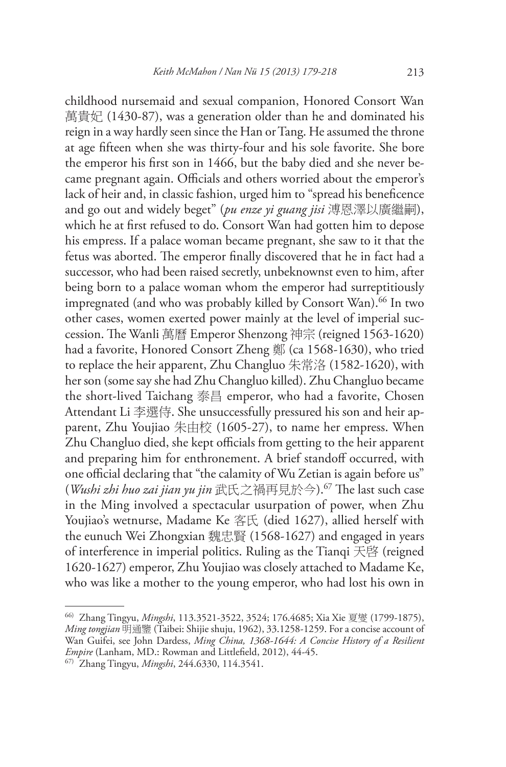childhood nursemaid and sexual companion, Honored Consort Wan 萬貴妃 (1430-87), was a generation older than he and dominated his reign in a way hardly seen since the Han or Tang. He assumed the throne at age fifteen when she was thirty-four and his sole favorite. She bore the emperor his first son in 1466, but the baby died and she never became pregnant again. Officials and others worried about the emperor's lack of heir and, in classic fashion, urged him to "spread his beneficence and go out and widely beget" (*pu enze yi guang jisi* 溥恩澤以廣繼嗣), which he at first refused to do. Consort Wan had gotten him to depose his empress. If a palace woman became pregnant, she saw to it that the fetus was aborted. The emperor finally discovered that he in fact had a successor, who had been raised secretly, unbeknownst even to him, after being born to a palace woman whom the emperor had surreptitiously impregnated (and who was probably killed by Consort Wan).<sup>66</sup> In two other cases, women exerted power mainly at the level of imperial succession. The Wanli 萬曆 Emperor Shenzong 神宗 (reigned 1563-1620) had a favorite, Honored Consort Zheng 鄭 (ca 1568-1630), who tried to replace the heir apparent, Zhu Changluo 朱常洛 (1582-1620), with her son (some say she had Zhu Changluo killed). Zhu Changluo became the short-lived Taichang 泰昌 emperor, who had a favorite, Chosen Attendant Li 李選侍. She unsuccessfully pressured his son and heir apparent, Zhu Youjiao 朱由校 (1605-27), to name her empress. When Zhu Changluo died, she kept officials from getting to the heir apparent and preparing him for enthronement. A brief standoff occurred, with one official declaring that "the calamity of Wu Zetian is again before us" (*Wushi zhi huo zai jian yu jin* 武氏之禍再見於今).67 The last such case in the Ming involved a spectacular usurpation of power, when Zhu Youjiao's wetnurse, Madame Ke 客氏 (died 1627), allied herself with the eunuch Wei Zhongxian 魏忠賢 (1568-1627) and engaged in years of interference in imperial politics. Ruling as the Tianqi 天啓 (reigned 1620-1627) emperor, Zhu Youjiao was closely attached to Madame Ke, who was like a mother to the young emperor, who had lost his own in

<sup>66)</sup> Zhang Tingyu, *Mingshi*, 113.3521-3522, 3524; 176.4685; Xia Xie 夏燮 (1799-1875), *Ming tongjian* 明通鑒 (Taibei: Shijie shuju, 1962), 33.1258-1259. For a concise account of Wan Guifei, see John Dardess, *Ming China, 1368-1644: A Concise History of a Resilient Empire* (Lanham, MD.: Rowman and Littlefield, 2012), 44-45.

<sup>67)</sup> Zhang Tingyu, *Mingshi*, 244.6330, 114.3541.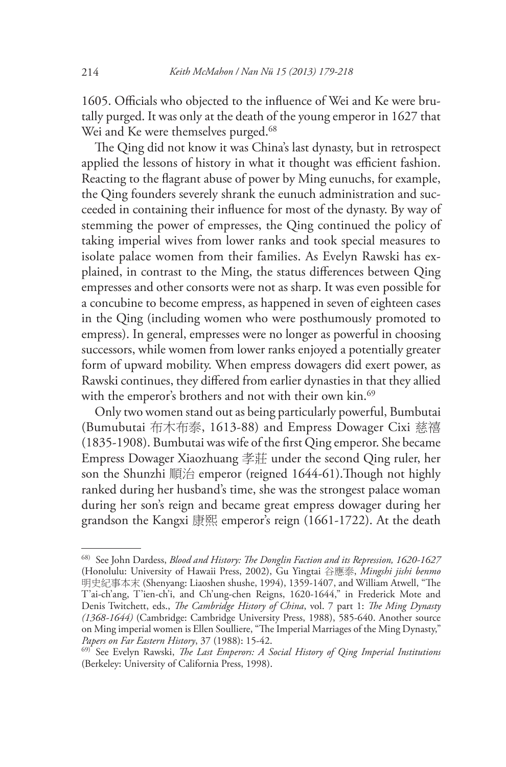1605. Officials who objected to the influence of Wei and Ke were brutally purged. It was only at the death of the young emperor in 1627 that Wei and Ke were themselves purged.<sup>68</sup>

The Qing did not know it was China's last dynasty, but in retrospect applied the lessons of history in what it thought was efficient fashion. Reacting to the flagrant abuse of power by Ming eunuchs, for example, the Qing founders severely shrank the eunuch administration and succeeded in containing their influence for most of the dynasty. By way of stemming the power of empresses, the Qing continued the policy of taking imperial wives from lower ranks and took special measures to isolate palace women from their families. As Evelyn Rawski has explained, in contrast to the Ming, the status differences between Qing empresses and other consorts were not as sharp. It was even possible for a concubine to become empress, as happened in seven of eighteen cases in the Qing (including women who were posthumously promoted to empress). In general, empresses were no longer as powerful in choosing successors, while women from lower ranks enjoyed a potentially greater form of upward mobility. When empress dowagers did exert power, as Rawski continues, they differed from earlier dynasties in that they allied with the emperor's brothers and not with their own kin.<sup>69</sup>

Only two women stand out as being particularly powerful, Bumbutai (Bumubutai 布木布泰, 1613-88) and Empress Dowager Cixi 慈禧 (1835-1908). Bumbutai was wife of the first Qing emperor. She became Empress Dowager Xiaozhuang 孝莊 under the second Qing ruler, her son the Shunzhi 順治 emperor (reigned 1644-61).Though not highly ranked during her husband's time, she was the strongest palace woman during her son's reign and became great empress dowager during her grandson the Kangxi 康熙 emperor's reign (1661-1722). At the death

<sup>68)</sup> See John Dardess, *Blood and History: The Donglin Faction and its Repression, 1620-1627* (Honolulu: University of Hawaii Press, 2002), Gu Yingtai 谷應泰, *Mingshi jishi benmo*  明史紀事本末 (Shenyang: Liaoshen shushe, 1994), 1359-1407, and William Atwell, "The T'ai-ch'ang, T'ien-ch'i, and Ch'ung-chen Reigns, 1620-1644," in Frederick Mote and Denis Twitchett, eds., *The Cambridge History of China*, vol. 7 part 1: *The Ming Dynasty (1368-1644)* (Cambridge: Cambridge University Press, 1988), 585-640. Another source on Ming imperial women is Ellen Soulliere, "The Imperial Marriages of the Ming Dynasty," *Papers on Far Eastern History*, 37 (1988): 15-42.

<sup>69)</sup> See Evelyn Rawski, *The Last Emperors: A Social History of Qing Imperial Institutions* (Berkeley: University of California Press, 1998).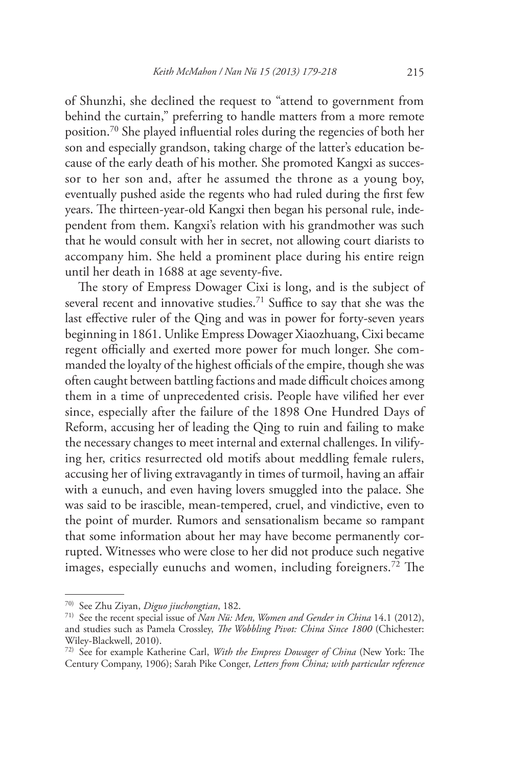of Shunzhi, she declined the request to "attend to government from behind the curtain," preferring to handle matters from a more remote position.70 She played influential roles during the regencies of both her son and especially grandson, taking charge of the latter's education because of the early death of his mother. She promoted Kangxi as successor to her son and, after he assumed the throne as a young boy, eventually pushed aside the regents who had ruled during the first few years. The thirteen-year-old Kangxi then began his personal rule, independent from them. Kangxi's relation with his grandmother was such that he would consult with her in secret, not allowing court diarists to accompany him. She held a prominent place during his entire reign until her death in 1688 at age seventy-five.

The story of Empress Dowager Cixi is long, and is the subject of several recent and innovative studies.<sup>71</sup> Suffice to say that she was the last effective ruler of the Qing and was in power for forty-seven years beginning in 1861. Unlike Empress Dowager Xiaozhuang, Cixi became regent officially and exerted more power for much longer. She commanded the loyalty of the highest officials of the empire, though she was often caught between battling factions and made difficult choices among them in a time of unprecedented crisis. People have vilified her ever since, especially after the failure of the 1898 One Hundred Days of Reform, accusing her of leading the Qing to ruin and failing to make the necessary changes to meet internal and external challenges. In vilifying her, critics resurrected old motifs about meddling female rulers, accusing her of living extravagantly in times of turmoil, having an affair with a eunuch, and even having lovers smuggled into the palace. She was said to be irascible, mean-tempered, cruel, and vindictive, even to the point of murder. Rumors and sensationalism became so rampant that some information about her may have become permanently corrupted. Witnesses who were close to her did not produce such negative images, especially eunuchs and women, including foreigners.<sup>72</sup> The

<sup>70)</sup> See Zhu Ziyan, *Diguo jiuchongtian*, 182.

<sup>71)</sup> See the recent special issue of *Nan Nü: Men, Women and Gender in China* 14.1 (2012), and studies such as Pamela Crossley, *The Wobbling Pivot: China Since 1800* (Chichester: Wiley-Blackwell, 2010).

<sup>72)</sup> See for example Katherine Carl, *With the Empress Dowager of China* (New York: The Century Company, 1906); Sarah Pike Conger, *Letters from China; with particular reference*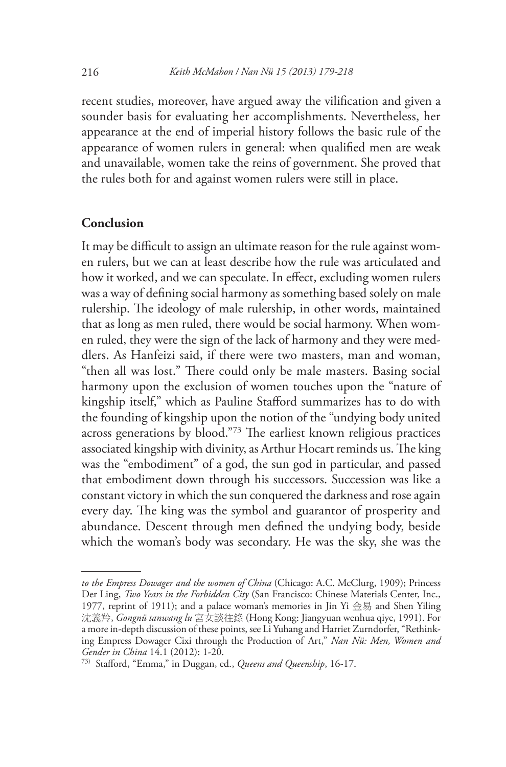recent studies, moreover, have argued away the vilification and given a sounder basis for evaluating her accomplishments. Nevertheless, her appearance at the end of imperial history follows the basic rule of the appearance of women rulers in general: when qualified men are weak and unavailable, women take the reins of government. She proved that the rules both for and against women rulers were still in place.

# **Conclusion**

It may be difficult to assign an ultimate reason for the rule against women rulers, but we can at least describe how the rule was articulated and how it worked, and we can speculate. In effect, excluding women rulers was a way of defining social harmony as something based solely on male rulership. The ideology of male rulership, in other words, maintained that as long as men ruled, there would be social harmony. When women ruled, they were the sign of the lack of harmony and they were meddlers. As Hanfeizi said, if there were two masters, man and woman, "then all was lost." There could only be male masters. Basing social harmony upon the exclusion of women touches upon the "nature of kingship itself," which as Pauline Stafford summarizes has to do with the founding of kingship upon the notion of the "undying body united across generations by blood."73 The earliest known religious practices associated kingship with divinity, as Arthur Hocart reminds us. The king was the "embodiment" of a god, the sun god in particular, and passed that embodiment down through his successors. Succession was like a constant victory in which the sun conquered the darkness and rose again every day. The king was the symbol and guarantor of prosperity and abundance. Descent through men defined the undying body, beside which the woman's body was secondary. He was the sky, she was the

*to the Empress Dowager and the women of China* (Chicago: A.C. McClurg, 1909); Princess Der Ling, *Two Years in the Forbidden City* (San Francisco: Chinese Materials Center, Inc., 1977, reprint of 1911); and a palace woman's memories in Jin Yi 金易 and Shen Yiling 沈義羚, *Gongnü tanwang lu* 宮女談往錄 (Hong Kong: Jiangyuan wenhua qiye, 1991). For a more in-depth discussion of these points, see Li Yuhang and Harriet Zurndorfer, "Rethinking Empress Dowager Cixi through the Production of Art," *Nan Nü: Men, Women and Gender in China* 14.1 (2012): 1-20.

<sup>73)</sup> Stafford, "Emma," in Duggan, ed., *Queens and Queenship*, 16-17.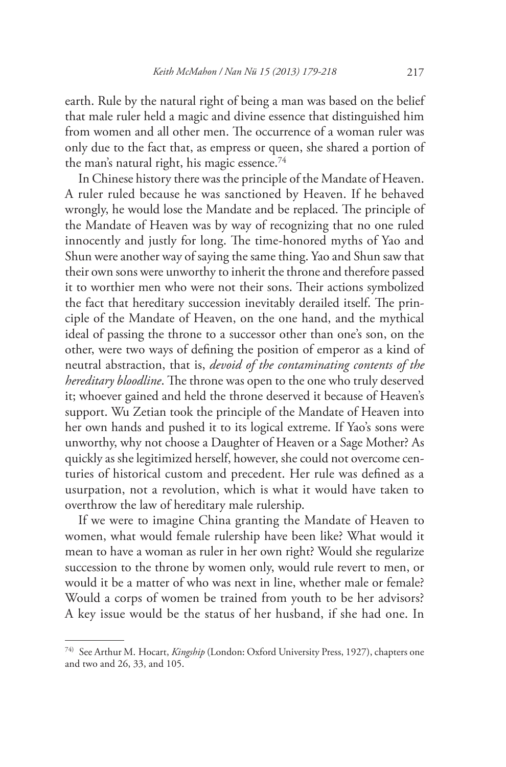earth. Rule by the natural right of being a man was based on the belief that male ruler held a magic and divine essence that distinguished him from women and all other men. The occurrence of a woman ruler was only due to the fact that, as empress or queen, she shared a portion of the man's natural right, his magic essence.<sup>74</sup>

In Chinese history there was the principle of the Mandate of Heaven. A ruler ruled because he was sanctioned by Heaven. If he behaved wrongly, he would lose the Mandate and be replaced. The principle of the Mandate of Heaven was by way of recognizing that no one ruled innocently and justly for long. The time-honored myths of Yao and Shun were another way of saying the same thing. Yao and Shun saw that their own sons were unworthy to inherit the throne and therefore passed it to worthier men who were not their sons. Their actions symbolized the fact that hereditary succession inevitably derailed itself. The principle of the Mandate of Heaven, on the one hand, and the mythical ideal of passing the throne to a successor other than one's son, on the other, were two ways of defining the position of emperor as a kind of neutral abstraction, that is, *devoid of the contaminating contents of the hereditary bloodline*. The throne was open to the one who truly deserved it; whoever gained and held the throne deserved it because of Heaven's support. Wu Zetian took the principle of the Mandate of Heaven into her own hands and pushed it to its logical extreme. If Yao's sons were unworthy, why not choose a Daughter of Heaven or a Sage Mother? As quickly as she legitimized herself, however, she could not overcome centuries of historical custom and precedent. Her rule was defined as a usurpation, not a revolution, which is what it would have taken to overthrow the law of hereditary male rulership.

If we were to imagine China granting the Mandate of Heaven to women, what would female rulership have been like? What would it mean to have a woman as ruler in her own right? Would she regularize succession to the throne by women only, would rule revert to men, or would it be a matter of who was next in line, whether male or female? Would a corps of women be trained from youth to be her advisors? A key issue would be the status of her husband, if she had one. In

<sup>74)</sup> See Arthur M. Hocart, *Kingship* (London: Oxford University Press, 1927), chapters one and two and 26, 33, and 105.